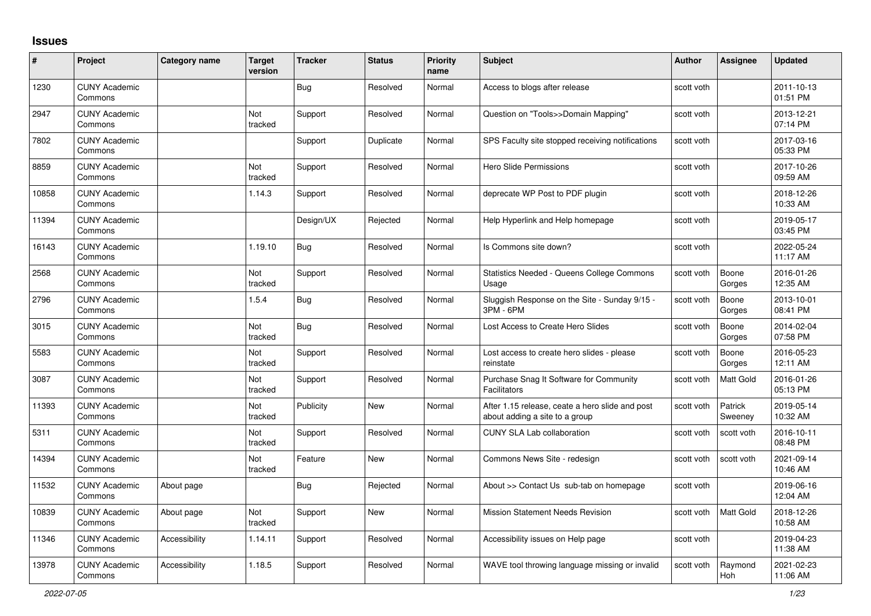## **Issues**

| #     | <b>Project</b>                  | Category name | <b>Target</b><br>version | <b>Tracker</b> | <b>Status</b> | <b>Priority</b><br>name | Subject                                                                           | <b>Author</b> | <b>Assignee</b>    | <b>Updated</b>         |
|-------|---------------------------------|---------------|--------------------------|----------------|---------------|-------------------------|-----------------------------------------------------------------------------------|---------------|--------------------|------------------------|
| 1230  | <b>CUNY Academic</b><br>Commons |               |                          | Bug            | Resolved      | Normal                  | Access to blogs after release                                                     | scott voth    |                    | 2011-10-13<br>01:51 PM |
| 2947  | <b>CUNY Academic</b><br>Commons |               | Not<br>tracked           | Support        | Resolved      | Normal                  | Question on "Tools>>Domain Mapping"                                               | scott voth    |                    | 2013-12-21<br>07:14 PM |
| 7802  | <b>CUNY Academic</b><br>Commons |               |                          | Support        | Duplicate     | Normal                  | SPS Faculty site stopped receiving notifications                                  | scott voth    |                    | 2017-03-16<br>05:33 PM |
| 8859  | <b>CUNY Academic</b><br>Commons |               | Not<br>tracked           | Support        | Resolved      | Normal                  | Hero Slide Permissions                                                            | scott voth    |                    | 2017-10-26<br>09:59 AM |
| 10858 | <b>CUNY Academic</b><br>Commons |               | 1.14.3                   | Support        | Resolved      | Normal                  | deprecate WP Post to PDF plugin                                                   | scott voth    |                    | 2018-12-26<br>10:33 AM |
| 11394 | <b>CUNY Academic</b><br>Commons |               |                          | Design/UX      | Rejected      | Normal                  | Help Hyperlink and Help homepage                                                  | scott voth    |                    | 2019-05-17<br>03:45 PM |
| 16143 | <b>CUNY Academic</b><br>Commons |               | 1.19.10                  | <b>Bug</b>     | Resolved      | Normal                  | Is Commons site down?                                                             | scott voth    |                    | 2022-05-24<br>11:17 AM |
| 2568  | <b>CUNY Academic</b><br>Commons |               | Not<br>tracked           | Support        | Resolved      | Normal                  | Statistics Needed - Queens College Commons<br>Usage                               | scott voth    | Boone<br>Gorges    | 2016-01-26<br>12:35 AM |
| 2796  | <b>CUNY Academic</b><br>Commons |               | 1.5.4                    | Bug            | Resolved      | Normal                  | Sluggish Response on the Site - Sunday 9/15 -<br>3PM - 6PM                        | scott voth    | Boone<br>Gorges    | 2013-10-01<br>08:41 PM |
| 3015  | <b>CUNY Academic</b><br>Commons |               | Not<br>tracked           | <b>Bug</b>     | Resolved      | Normal                  | Lost Access to Create Hero Slides                                                 | scott voth    | Boone<br>Gorges    | 2014-02-04<br>07:58 PM |
| 5583  | <b>CUNY Academic</b><br>Commons |               | Not<br>tracked           | Support        | Resolved      | Normal                  | Lost access to create hero slides - please<br>reinstate                           | scott voth    | Boone<br>Gorges    | 2016-05-23<br>12:11 AM |
| 3087  | <b>CUNY Academic</b><br>Commons |               | Not<br>tracked           | Support        | Resolved      | Normal                  | Purchase Snag It Software for Community<br>Facilitators                           | scott voth    | Matt Gold          | 2016-01-26<br>05:13 PM |
| 11393 | <b>CUNY Academic</b><br>Commons |               | <b>Not</b><br>tracked    | Publicity      | <b>New</b>    | Normal                  | After 1.15 release, ceate a hero slide and post<br>about adding a site to a group | scott voth    | Patrick<br>Sweeney | 2019-05-14<br>10:32 AM |
| 5311  | <b>CUNY Academic</b><br>Commons |               | Not<br>tracked           | Support        | Resolved      | Normal                  | <b>CUNY SLA Lab collaboration</b>                                                 | scott voth    | scott voth         | 2016-10-11<br>08:48 PM |
| 14394 | <b>CUNY Academic</b><br>Commons |               | Not<br>tracked           | Feature        | <b>New</b>    | Normal                  | Commons News Site - redesign                                                      | scott voth    | scott voth         | 2021-09-14<br>10:46 AM |
| 11532 | <b>CUNY Academic</b><br>Commons | About page    |                          | Bug            | Rejected      | Normal                  | About >> Contact Us sub-tab on homepage                                           | scott voth    |                    | 2019-06-16<br>12:04 AM |
| 10839 | <b>CUNY Academic</b><br>Commons | About page    | Not<br>tracked           | Support        | New           | Normal                  | <b>Mission Statement Needs Revision</b>                                           | scott voth    | <b>Matt Gold</b>   | 2018-12-26<br>10:58 AM |
| 11346 | <b>CUNY Academic</b><br>Commons | Accessibility | 1.14.11                  | Support        | Resolved      | Normal                  | Accessibility issues on Help page                                                 | scott voth    |                    | 2019-04-23<br>11:38 AM |
| 13978 | <b>CUNY Academic</b><br>Commons | Accessibility | 1.18.5                   | Support        | Resolved      | Normal                  | WAVE tool throwing language missing or invalid                                    | scott voth    | Raymond<br>Hoh     | 2021-02-23<br>11:06 AM |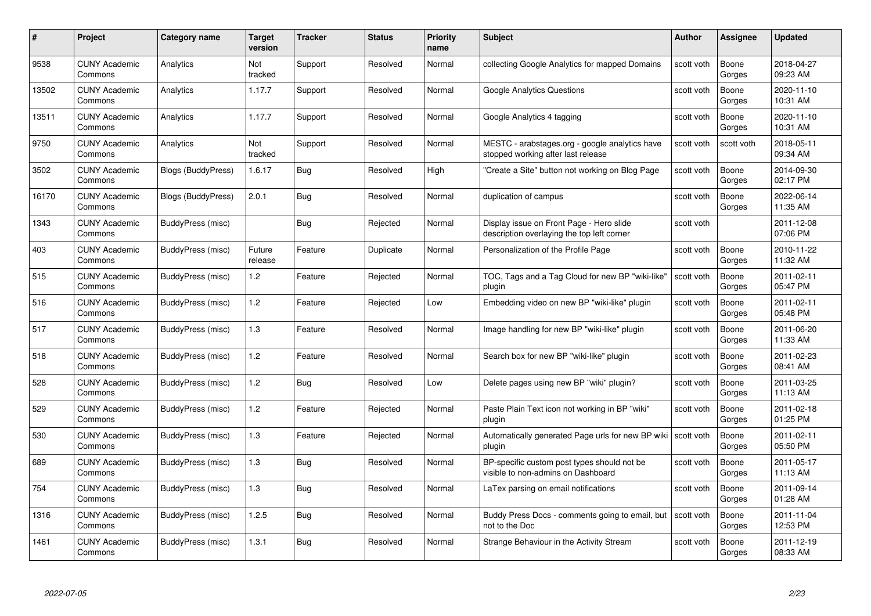| #     | Project                         | <b>Category name</b>      | Target<br>version | <b>Tracker</b> | <b>Status</b> | <b>Priority</b><br>name | <b>Subject</b>                                                                         | <b>Author</b> | <b>Assignee</b> | <b>Updated</b>         |
|-------|---------------------------------|---------------------------|-------------------|----------------|---------------|-------------------------|----------------------------------------------------------------------------------------|---------------|-----------------|------------------------|
| 9538  | <b>CUNY Academic</b><br>Commons | Analytics                 | Not<br>tracked    | Support        | Resolved      | Normal                  | collecting Google Analytics for mapped Domains                                         | scott voth    | Boone<br>Gorges | 2018-04-27<br>09:23 AM |
| 13502 | <b>CUNY Academic</b><br>Commons | Analytics                 | 1.17.7            | Support        | Resolved      | Normal                  | Google Analytics Questions                                                             | scott voth    | Boone<br>Gorges | 2020-11-10<br>10:31 AM |
| 13511 | <b>CUNY Academic</b><br>Commons | Analytics                 | 1.17.7            | Support        | Resolved      | Normal                  | Google Analytics 4 tagging                                                             | scott voth    | Boone<br>Gorges | 2020-11-10<br>10:31 AM |
| 9750  | <b>CUNY Academic</b><br>Commons | Analytics                 | Not<br>tracked    | Support        | Resolved      | Normal                  | MESTC - arabstages.org - google analytics have<br>stopped working after last release   | scott voth    | scott voth      | 2018-05-11<br>09:34 AM |
| 3502  | <b>CUNY Academic</b><br>Commons | <b>Blogs (BuddyPress)</b> | 1.6.17            | <b>Bug</b>     | Resolved      | High                    | "Create a Site" button not working on Blog Page                                        | scott voth    | Boone<br>Gorges | 2014-09-30<br>02:17 PM |
| 16170 | <b>CUNY Academic</b><br>Commons | <b>Blogs (BuddyPress)</b> | 2.0.1             | <b>Bug</b>     | Resolved      | Normal                  | duplication of campus                                                                  | scott voth    | Boone<br>Gorges | 2022-06-14<br>11:35 AM |
| 1343  | <b>CUNY Academic</b><br>Commons | BuddyPress (misc)         |                   | Bug            | Rejected      | Normal                  | Display issue on Front Page - Hero slide<br>description overlaying the top left corner | scott voth    |                 | 2011-12-08<br>07:06 PM |
| 403   | <b>CUNY Academic</b><br>Commons | BuddyPress (misc)         | Future<br>release | Feature        | Duplicate     | Normal                  | Personalization of the Profile Page                                                    | scott voth    | Boone<br>Gorges | 2010-11-22<br>11:32 AM |
| 515   | <b>CUNY Academic</b><br>Commons | BuddyPress (misc)         | $1.2$             | Feature        | Rejected      | Normal                  | TOC, Tags and a Tag Cloud for new BP "wiki-like"<br>plugin                             | scott voth    | Boone<br>Gorges | 2011-02-11<br>05:47 PM |
| 516   | <b>CUNY Academic</b><br>Commons | BuddyPress (misc)         | 1.2               | Feature        | Rejected      | Low                     | Embedding video on new BP "wiki-like" plugin                                           | scott voth    | Boone<br>Gorges | 2011-02-11<br>05:48 PM |
| 517   | <b>CUNY Academic</b><br>Commons | BuddyPress (misc)         | $1.3$             | Feature        | Resolved      | Normal                  | Image handling for new BP "wiki-like" plugin                                           | scott voth    | Boone<br>Gorges | 2011-06-20<br>11:33 AM |
| 518   | <b>CUNY Academic</b><br>Commons | BuddyPress (misc)         | $1.2$             | Feature        | Resolved      | Normal                  | Search box for new BP "wiki-like" plugin                                               | scott voth    | Boone<br>Gorges | 2011-02-23<br>08:41 AM |
| 528   | <b>CUNY Academic</b><br>Commons | BuddyPress (misc)         | 1.2               | Bug            | Resolved      | Low                     | Delete pages using new BP "wiki" plugin?                                               | scott voth    | Boone<br>Gorges | 2011-03-25<br>11:13 AM |
| 529   | <b>CUNY Academic</b><br>Commons | BuddyPress (misc)         | $1.2$             | Feature        | Rejected      | Normal                  | Paste Plain Text icon not working in BP "wiki"<br>plugin                               | scott voth    | Boone<br>Gorges | 2011-02-18<br>01:25 PM |
| 530   | <b>CUNY Academic</b><br>Commons | BuddyPress (misc)         | $1.3$             | Feature        | Rejected      | Normal                  | Automatically generated Page urls for new BP wiki   scott voth<br>plugin               |               | Boone<br>Gorges | 2011-02-11<br>05:50 PM |
| 689   | <b>CUNY Academic</b><br>Commons | BuddyPress (misc)         | 1.3               | <b>Bug</b>     | Resolved      | Normal                  | BP-specific custom post types should not be<br>visible to non-admins on Dashboard      | scott voth    | Boone<br>Gorges | 2011-05-17<br>11:13 AM |
| 754   | <b>CUNY Academic</b><br>Commons | BuddyPress (misc)         | 1.3               | Bug            | Resolved      | Normal                  | LaTex parsing on email notifications                                                   | scott voth    | Boone<br>Gorges | 2011-09-14<br>01:28 AM |
| 1316  | <b>CUNY Academic</b><br>Commons | BuddyPress (misc)         | 1.2.5             | <b>Bug</b>     | Resolved      | Normal                  | Buddy Press Docs - comments going to email, but<br>not to the Doc                      | scott voth    | Boone<br>Gorges | 2011-11-04<br>12:53 PM |
| 1461  | CUNY Academic<br>Commons        | BuddyPress (misc)         | 1.3.1             | <b>Bug</b>     | Resolved      | Normal                  | Strange Behaviour in the Activity Stream                                               | scott voth    | Boone<br>Gorges | 2011-12-19<br>08:33 AM |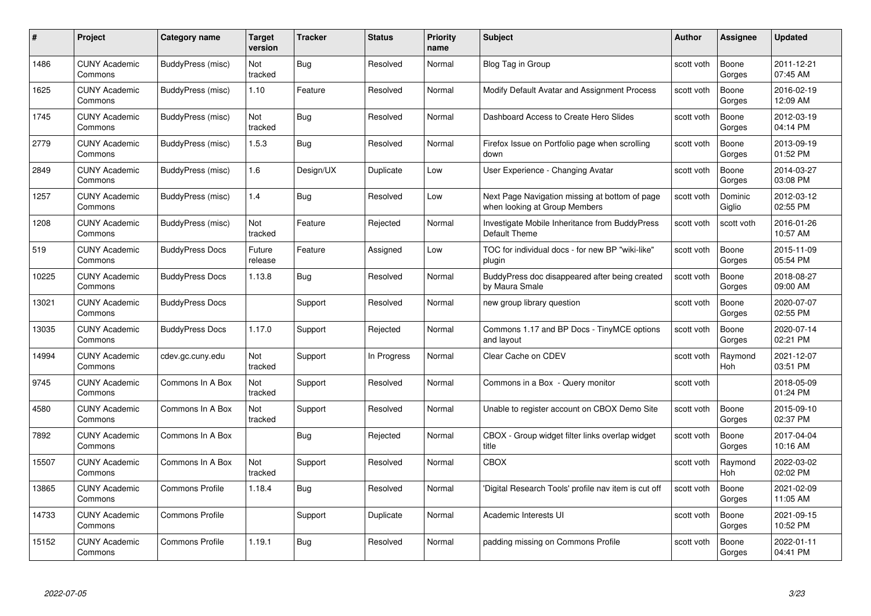| #     | Project                         | <b>Category name</b>   | Target<br>version | <b>Tracker</b> | <b>Status</b> | <b>Priority</b><br>name | <b>Subject</b>                                                                  | <b>Author</b> | <b>Assignee</b>       | <b>Updated</b>         |
|-------|---------------------------------|------------------------|-------------------|----------------|---------------|-------------------------|---------------------------------------------------------------------------------|---------------|-----------------------|------------------------|
| 1486  | <b>CUNY Academic</b><br>Commons | BuddyPress (misc)      | Not<br>tracked    | Bug            | Resolved      | Normal                  | Blog Tag in Group                                                               | scott voth    | Boone<br>Gorges       | 2011-12-21<br>07:45 AM |
| 1625  | <b>CUNY Academic</b><br>Commons | BuddyPress (misc)      | 1.10              | Feature        | Resolved      | Normal                  | Modify Default Avatar and Assignment Process                                    | scott voth    | Boone<br>Gorges       | 2016-02-19<br>12:09 AM |
| 1745  | <b>CUNY Academic</b><br>Commons | BuddyPress (misc)      | Not<br>tracked    | <b>Bug</b>     | Resolved      | Normal                  | Dashboard Access to Create Hero Slides                                          | scott voth    | Boone<br>Gorges       | 2012-03-19<br>04:14 PM |
| 2779  | <b>CUNY Academic</b><br>Commons | BuddyPress (misc)      | 1.5.3             | Bug            | Resolved      | Normal                  | Firefox Issue on Portfolio page when scrolling<br>down                          | scott voth    | Boone<br>Gorges       | 2013-09-19<br>01:52 PM |
| 2849  | <b>CUNY Academic</b><br>Commons | BuddyPress (misc)      | 1.6               | Design/UX      | Duplicate     | Low                     | User Experience - Changing Avatar                                               | scott voth    | Boone<br>Gorges       | 2014-03-27<br>03:08 PM |
| 1257  | <b>CUNY Academic</b><br>Commons | BuddyPress (misc)      | 1.4               | Bug            | Resolved      | Low                     | Next Page Navigation missing at bottom of page<br>when looking at Group Members | scott voth    | Dominic<br>Giglio     | 2012-03-12<br>02:55 PM |
| 1208  | <b>CUNY Academic</b><br>Commons | BuddyPress (misc)      | Not<br>tracked    | Feature        | Rejected      | Normal                  | Investigate Mobile Inheritance from BuddyPress<br>Default Theme                 | scott voth    | scott voth            | 2016-01-26<br>10:57 AM |
| 519   | <b>CUNY Academic</b><br>Commons | <b>BuddyPress Docs</b> | Future<br>release | Feature        | Assigned      | Low                     | TOC for individual docs - for new BP "wiki-like"<br>plugin                      | scott voth    | Boone<br>Gorges       | 2015-11-09<br>05:54 PM |
| 10225 | <b>CUNY Academic</b><br>Commons | <b>BuddyPress Docs</b> | 1.13.8            | Bug            | Resolved      | Normal                  | BuddyPress doc disappeared after being created<br>by Maura Smale                | scott voth    | Boone<br>Gorges       | 2018-08-27<br>09:00 AM |
| 13021 | <b>CUNY Academic</b><br>Commons | <b>BuddyPress Docs</b> |                   | Support        | Resolved      | Normal                  | new group library question                                                      | scott voth    | Boone<br>Gorges       | 2020-07-07<br>02:55 PM |
| 13035 | CUNY Academic<br>Commons        | <b>BuddyPress Docs</b> | 1.17.0            | Support        | Rejected      | Normal                  | Commons 1.17 and BP Docs - TinyMCE options<br>and layout                        | scott voth    | Boone<br>Gorges       | 2020-07-14<br>02:21 PM |
| 14994 | <b>CUNY Academic</b><br>Commons | cdev.gc.cuny.edu       | Not<br>tracked    | Support        | In Progress   | Normal                  | Clear Cache on CDEV                                                             | scott voth    | Raymond<br>Hoh        | 2021-12-07<br>03:51 PM |
| 9745  | <b>CUNY Academic</b><br>Commons | Commons In A Box       | Not<br>tracked    | Support        | Resolved      | Normal                  | Commons in a Box - Query monitor                                                | scott voth    |                       | 2018-05-09<br>01:24 PM |
| 4580  | <b>CUNY Academic</b><br>Commons | Commons In A Box       | Not<br>tracked    | Support        | Resolved      | Normal                  | Unable to register account on CBOX Demo Site                                    | scott voth    | Boone<br>Gorges       | 2015-09-10<br>02:37 PM |
| 7892  | <b>CUNY Academic</b><br>Commons | Commons In A Box       |                   | Bug            | Rejected      | Normal                  | CBOX - Group widget filter links overlap widget<br>title                        | scott voth    | Boone<br>Gorges       | 2017-04-04<br>10:16 AM |
| 15507 | <b>CUNY Academic</b><br>Commons | Commons In A Box       | Not<br>tracked    | Support        | Resolved      | Normal                  | <b>CBOX</b>                                                                     | scott voth    | Raymond<br><b>Hoh</b> | 2022-03-02<br>02:02 PM |
| 13865 | <b>CUNY Academic</b><br>Commons | <b>Commons Profile</b> | 1.18.4            | <b>Bug</b>     | Resolved      | Normal                  | 'Digital Research Tools' profile nav item is cut off                            | scott voth    | Boone<br>Gorges       | 2021-02-09<br>11:05 AM |
| 14733 | <b>CUNY Academic</b><br>Commons | <b>Commons Profile</b> |                   | Support        | Duplicate     | Normal                  | Academic Interests UI                                                           | scott voth    | Boone<br>Gorges       | 2021-09-15<br>10:52 PM |
| 15152 | <b>CUNY Academic</b><br>Commons | <b>Commons Profile</b> | 1.19.1            | Bug            | Resolved      | Normal                  | padding missing on Commons Profile                                              | scott voth    | Boone<br>Gorges       | 2022-01-11<br>04:41 PM |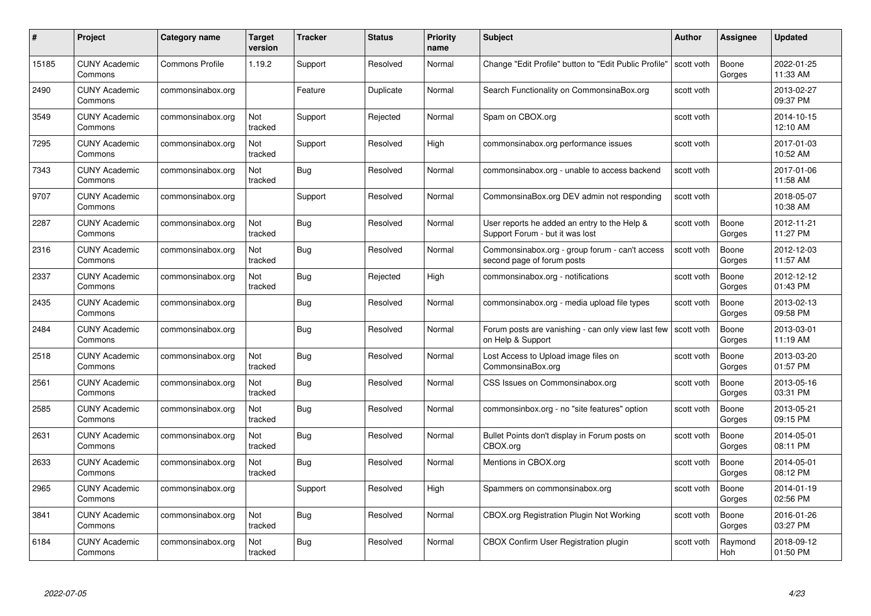|       | Project                         | <b>Category name</b>   | Target<br>version | <b>Tracker</b> | <b>Status</b> | <b>Priority</b><br>name | <b>Subject</b>                                                                  | <b>Author</b> | Assignee        | <b>Updated</b>         |
|-------|---------------------------------|------------------------|-------------------|----------------|---------------|-------------------------|---------------------------------------------------------------------------------|---------------|-----------------|------------------------|
| 15185 | <b>CUNY Academic</b><br>Commons | <b>Commons Profile</b> | 1.19.2            | Support        | Resolved      | Normal                  | Change "Edit Profile" button to "Edit Public Profile"                           | scott voth    | Boone<br>Gorges | 2022-01-25<br>11:33 AM |
| 2490  | <b>CUNY Academic</b><br>Commons | commonsinabox.org      |                   | Feature        | Duplicate     | Normal                  | Search Functionality on CommonsinaBox.org                                       | scott voth    |                 | 2013-02-27<br>09:37 PM |
| 3549  | <b>CUNY Academic</b><br>Commons | commonsinabox.org      | Not<br>tracked    | Support        | Rejected      | Normal                  | Spam on CBOX.org                                                                | scott voth    |                 | 2014-10-15<br>12:10 AM |
| 7295  | <b>CUNY Academic</b><br>Commons | commonsinabox.org      | Not<br>tracked    | Support        | Resolved      | High                    | commonsinabox.org performance issues                                            | scott voth    |                 | 2017-01-03<br>10:52 AM |
| 7343  | <b>CUNY Academic</b><br>Commons | commonsinabox.org      | Not<br>tracked    | <b>Bug</b>     | Resolved      | Normal                  | commonsinabox.org - unable to access backend                                    | scott voth    |                 | 2017-01-06<br>11:58 AM |
| 9707  | <b>CUNY Academic</b><br>Commons | commonsinabox.org      |                   | Support        | Resolved      | Normal                  | CommonsinaBox.org DEV admin not responding                                      | scott voth    |                 | 2018-05-07<br>10:38 AM |
| 2287  | <b>CUNY Academic</b><br>Commons | commonsinabox.org      | Not<br>tracked    | <b>Bug</b>     | Resolved      | Normal                  | User reports he added an entry to the Help &<br>Support Forum - but it was lost | scott voth    | Boone<br>Gorges | 2012-11-21<br>11:27 PM |
| 2316  | <b>CUNY Academic</b><br>Commons | commonsinabox.org      | Not<br>tracked    | <b>Bug</b>     | Resolved      | Normal                  | Commonsinabox.org - group forum - can't access<br>second page of forum posts    | scott voth    | Boone<br>Gorges | 2012-12-03<br>11:57 AM |
| 2337  | <b>CUNY Academic</b><br>Commons | commonsinabox.org      | Not<br>tracked    | Bug            | Rejected      | High                    | commonsinabox.org - notifications                                               | scott voth    | Boone<br>Gorges | 2012-12-12<br>01:43 PM |
| 2435  | <b>CUNY Academic</b><br>Commons | commonsinabox.org      |                   | <b>Bug</b>     | Resolved      | Normal                  | commonsinabox.org - media upload file types                                     | scott voth    | Boone<br>Gorges | 2013-02-13<br>09:58 PM |
| 2484  | <b>CUNY Academic</b><br>Commons | commonsinabox.org      |                   | Bug            | Resolved      | Normal                  | Forum posts are vanishing - can only view last few<br>on Help & Support         | scott voth    | Boone<br>Gorges | 2013-03-01<br>11:19 AM |
| 2518  | <b>CUNY Academic</b><br>Commons | commonsinabox.org      | Not<br>tracked    | Bug            | Resolved      | Normal                  | Lost Access to Upload image files on<br>CommonsinaBox.org                       | scott voth    | Boone<br>Gorges | 2013-03-20<br>01:57 PM |
| 2561  | <b>CUNY Academic</b><br>Commons | commonsinabox.org      | Not<br>tracked    | Bug            | Resolved      | Normal                  | CSS Issues on Commonsinabox.org                                                 | scott voth    | Boone<br>Gorges | 2013-05-16<br>03:31 PM |
| 2585  | <b>CUNY Academic</b><br>Commons | commonsinabox.org      | Not<br>tracked    | <b>Bug</b>     | Resolved      | Normal                  | commonsinbox.org - no "site features" option                                    | scott voth    | Boone<br>Gorges | 2013-05-21<br>09:15 PM |
| 2631  | <b>CUNY Academic</b><br>Commons | commonsinabox.org      | Not<br>tracked    | Bug            | Resolved      | Normal                  | Bullet Points don't display in Forum posts on<br>CBOX.org                       | scott voth    | Boone<br>Gorges | 2014-05-01<br>08:11 PM |
| 2633  | <b>CUNY Academic</b><br>Commons | commonsinabox.org      | Not<br>tracked    | <b>Bug</b>     | Resolved      | Normal                  | Mentions in CBOX.org                                                            | scott voth    | Boone<br>Gorges | 2014-05-01<br>08:12 PM |
| 2965  | <b>CUNY Academic</b><br>Commons | commonsinabox.org      |                   | Support        | Resolved      | High                    | Spammers on commonsinabox.org                                                   | scott voth    | Boone<br>Gorges | 2014-01-19<br>02:56 PM |
| 3841  | <b>CUNY Academic</b><br>Commons | commonsinabox.org      | Not<br>tracked    | <b>Bug</b>     | Resolved      | Normal                  | <b>CBOX.org Registration Plugin Not Working</b>                                 | scott voth    | Boone<br>Gorges | 2016-01-26<br>03:27 PM |
| 6184  | CUNY Academic<br>Commons        | commonsinabox.org      | Not<br>tracked    | Bug            | Resolved      | Normal                  | CBOX Confirm User Registration plugin                                           | scott voth    | Raymond<br>Hoh  | 2018-09-12<br>01:50 PM |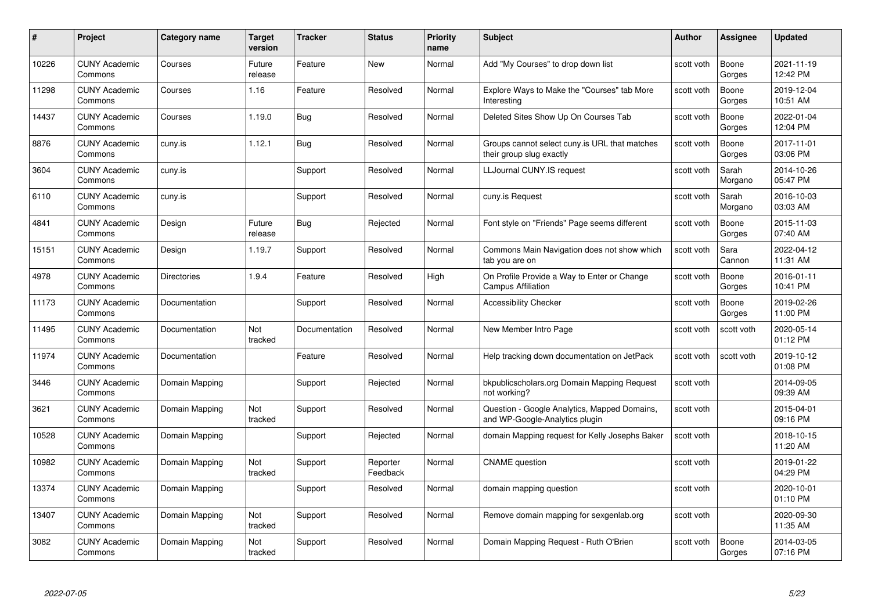| #     | Project                         | Category name      | <b>Target</b><br>version | <b>Tracker</b> | <b>Status</b>        | <b>Priority</b><br>name | <b>Subject</b>                                                                 | <b>Author</b> | Assignee         | <b>Updated</b>         |
|-------|---------------------------------|--------------------|--------------------------|----------------|----------------------|-------------------------|--------------------------------------------------------------------------------|---------------|------------------|------------------------|
| 10226 | <b>CUNY Academic</b><br>Commons | Courses            | Future<br>release        | Feature        | <b>New</b>           | Normal                  | Add "My Courses" to drop down list                                             | scott voth    | Boone<br>Gorges  | 2021-11-19<br>12:42 PM |
| 11298 | <b>CUNY Academic</b><br>Commons | Courses            | 1.16                     | Feature        | Resolved             | Normal                  | Explore Ways to Make the "Courses" tab More<br>Interesting                     | scott voth    | Boone<br>Gorges  | 2019-12-04<br>10:51 AM |
| 14437 | <b>CUNY Academic</b><br>Commons | Courses            | 1.19.0                   | Bug            | Resolved             | Normal                  | Deleted Sites Show Up On Courses Tab                                           | scott voth    | Boone<br>Gorges  | 2022-01-04<br>12:04 PM |
| 8876  | <b>CUNY Academic</b><br>Commons | cuny.is            | 1.12.1                   | Bug            | Resolved             | Normal                  | Groups cannot select cuny is URL that matches<br>their group slug exactly      | scott voth    | Boone<br>Gorges  | 2017-11-01<br>03:06 PM |
| 3604  | <b>CUNY Academic</b><br>Commons | cuny.is            |                          | Support        | Resolved             | Normal                  | LLJournal CUNY.IS request                                                      | scott voth    | Sarah<br>Morgano | 2014-10-26<br>05:47 PM |
| 6110  | <b>CUNY Academic</b><br>Commons | cuny.is            |                          | Support        | Resolved             | Normal                  | cuny.is Request                                                                | scott voth    | Sarah<br>Morgano | 2016-10-03<br>03:03 AM |
| 4841  | <b>CUNY Academic</b><br>Commons | Design             | Future<br>release        | <b>Bug</b>     | Rejected             | Normal                  | Font style on "Friends" Page seems different                                   | scott voth    | Boone<br>Gorges  | 2015-11-03<br>07:40 AM |
| 15151 | <b>CUNY Academic</b><br>Commons | Design             | 1.19.7                   | Support        | Resolved             | Normal                  | Commons Main Navigation does not show which<br>tab you are on                  | scott voth    | Sara<br>Cannon   | 2022-04-12<br>11:31 AM |
| 4978  | <b>CUNY Academic</b><br>Commons | <b>Directories</b> | 1.9.4                    | Feature        | Resolved             | High                    | On Profile Provide a Way to Enter or Change<br><b>Campus Affiliation</b>       | scott voth    | Boone<br>Gorges  | 2016-01-11<br>10:41 PM |
| 11173 | <b>CUNY Academic</b><br>Commons | Documentation      |                          | Support        | Resolved             | Normal                  | <b>Accessibility Checker</b>                                                   | scott voth    | Boone<br>Gorges  | 2019-02-26<br>11:00 PM |
| 11495 | <b>CUNY Academic</b><br>Commons | Documentation      | Not<br>tracked           | Documentation  | Resolved             | Normal                  | New Member Intro Page                                                          | scott voth    | scott voth       | 2020-05-14<br>01:12 PM |
| 11974 | <b>CUNY Academic</b><br>Commons | Documentation      |                          | Feature        | Resolved             | Normal                  | Help tracking down documentation on JetPack                                    | scott voth    | scott voth       | 2019-10-12<br>01:08 PM |
| 3446  | <b>CUNY Academic</b><br>Commons | Domain Mapping     |                          | Support        | Rejected             | Normal                  | bkpublicscholars.org Domain Mapping Request<br>not working?                    | scott voth    |                  | 2014-09-05<br>09:39 AM |
| 3621  | <b>CUNY Academic</b><br>Commons | Domain Mapping     | Not<br>tracked           | Support        | Resolved             | Normal                  | Question - Google Analytics, Mapped Domains,<br>and WP-Google-Analytics plugin | scott voth    |                  | 2015-04-01<br>09:16 PM |
| 10528 | <b>CUNY Academic</b><br>Commons | Domain Mapping     |                          | Support        | Rejected             | Normal                  | domain Mapping request for Kelly Josephs Baker                                 | scott voth    |                  | 2018-10-15<br>11:20 AM |
| 10982 | <b>CUNY Academic</b><br>Commons | Domain Mapping     | Not<br>tracked           | Support        | Reporter<br>Feedback | Normal                  | <b>CNAME</b> question                                                          | scott voth    |                  | 2019-01-22<br>04:29 PM |
| 13374 | <b>CUNY Academic</b><br>Commons | Domain Mapping     |                          | Support        | Resolved             | Normal                  | domain mapping question                                                        | scott voth    |                  | 2020-10-01<br>01:10 PM |
| 13407 | <b>CUNY Academic</b><br>Commons | Domain Mapping     | Not<br>tracked           | Support        | Resolved             | Normal                  | Remove domain mapping for sexgenlab.org                                        | scott voth    |                  | 2020-09-30<br>11:35 AM |
| 3082  | <b>CUNY Academic</b><br>Commons | Domain Mapping     | Not<br>tracked           | Support        | Resolved             | Normal                  | Domain Mapping Request - Ruth O'Brien                                          | scott voth    | Boone<br>Gorges  | 2014-03-05<br>07:16 PM |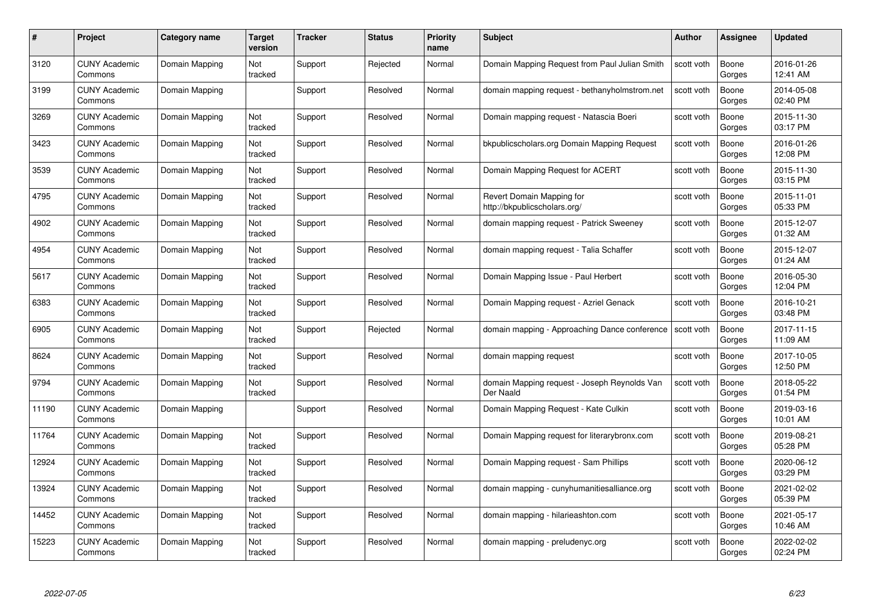| #     | Project                         | <b>Category name</b> | Target<br>version | <b>Tracker</b> | <b>Status</b> | <b>Priority</b><br>name | <b>Subject</b>                                            | <b>Author</b> | <b>Assignee</b> | <b>Updated</b>         |
|-------|---------------------------------|----------------------|-------------------|----------------|---------------|-------------------------|-----------------------------------------------------------|---------------|-----------------|------------------------|
| 3120  | <b>CUNY Academic</b><br>Commons | Domain Mapping       | Not<br>tracked    | Support        | Rejected      | Normal                  | Domain Mapping Request from Paul Julian Smith             | scott voth    | Boone<br>Gorges | 2016-01-26<br>12:41 AM |
| 3199  | <b>CUNY Academic</b><br>Commons | Domain Mapping       |                   | Support        | Resolved      | Normal                  | domain mapping request - bethanyholmstrom.net             | scott voth    | Boone<br>Gorges | 2014-05-08<br>02:40 PM |
| 3269  | <b>CUNY Academic</b><br>Commons | Domain Mapping       | Not<br>tracked    | Support        | Resolved      | Normal                  | Domain mapping request - Natascia Boeri                   | scott voth    | Boone<br>Gorges | 2015-11-30<br>03:17 PM |
| 3423  | <b>CUNY Academic</b><br>Commons | Domain Mapping       | Not<br>tracked    | Support        | Resolved      | Normal                  | bkpublicscholars.org Domain Mapping Request               | scott voth    | Boone<br>Gorges | 2016-01-26<br>12:08 PM |
| 3539  | CUNY Academic<br>Commons        | Domain Mapping       | Not<br>tracked    | Support        | Resolved      | Normal                  | Domain Mapping Request for ACERT                          | scott voth    | Boone<br>Gorges | 2015-11-30<br>03:15 PM |
| 4795  | <b>CUNY Academic</b><br>Commons | Domain Mapping       | Not<br>tracked    | Support        | Resolved      | Normal                  | Revert Domain Mapping for<br>http://bkpublicscholars.org/ | scott voth    | Boone<br>Gorges | 2015-11-01<br>05:33 PM |
| 4902  | <b>CUNY Academic</b><br>Commons | Domain Mapping       | Not<br>tracked    | Support        | Resolved      | Normal                  | domain mapping reguest - Patrick Sweeney                  | scott voth    | Boone<br>Gorges | 2015-12-07<br>01:32 AM |
| 4954  | <b>CUNY Academic</b><br>Commons | Domain Mapping       | Not<br>tracked    | Support        | Resolved      | Normal                  | domain mapping request - Talia Schaffer                   | scott voth    | Boone<br>Gorges | 2015-12-07<br>01:24 AM |
| 5617  | <b>CUNY Academic</b><br>Commons | Domain Mapping       | Not<br>tracked    | Support        | Resolved      | Normal                  | Domain Mapping Issue - Paul Herbert                       | scott voth    | Boone<br>Gorges | 2016-05-30<br>12:04 PM |
| 6383  | <b>CUNY Academic</b><br>Commons | Domain Mapping       | Not<br>tracked    | Support        | Resolved      | Normal                  | Domain Mapping request - Azriel Genack                    | scott voth    | Boone<br>Gorges | 2016-10-21<br>03:48 PM |
| 6905  | CUNY Academic<br>Commons        | Domain Mapping       | Not<br>tracked    | Support        | Rejected      | Normal                  | domain mapping - Approaching Dance conference             | scott voth    | Boone<br>Gorges | 2017-11-15<br>11:09 AM |
| 8624  | <b>CUNY Academic</b><br>Commons | Domain Mapping       | Not<br>tracked    | Support        | Resolved      | Normal                  | domain mapping request                                    | scott voth    | Boone<br>Gorges | 2017-10-05<br>12:50 PM |
| 9794  | <b>CUNY Academic</b><br>Commons | Domain Mapping       | Not<br>tracked    | Support        | Resolved      | Normal                  | domain Mapping request - Joseph Reynolds Van<br>Der Naald | scott voth    | Boone<br>Gorges | 2018-05-22<br>01:54 PM |
| 11190 | <b>CUNY Academic</b><br>Commons | Domain Mapping       |                   | Support        | Resolved      | Normal                  | Domain Mapping Request - Kate Culkin                      | scott voth    | Boone<br>Gorges | 2019-03-16<br>10:01 AM |
| 11764 | <b>CUNY Academic</b><br>Commons | Domain Mapping       | Not<br>tracked    | Support        | Resolved      | Normal                  | Domain Mapping request for literarybronx.com              | scott voth    | Boone<br>Gorges | 2019-08-21<br>05:28 PM |
| 12924 | <b>CUNY Academic</b><br>Commons | Domain Mapping       | Not<br>tracked    | Support        | Resolved      | Normal                  | Domain Mapping request - Sam Phillips                     | scott voth    | Boone<br>Gorges | 2020-06-12<br>03:29 PM |
| 13924 | <b>CUNY Academic</b><br>Commons | Domain Mapping       | Not<br>tracked    | Support        | Resolved      | Normal                  | domain mapping - cunyhumanitiesalliance.org               | scott voth    | Boone<br>Gorges | 2021-02-02<br>05:39 PM |
| 14452 | <b>CUNY Academic</b><br>Commons | Domain Mapping       | Not<br>tracked    | Support        | Resolved      | Normal                  | domain mapping - hilarieashton.com                        | scott voth    | Boone<br>Gorges | 2021-05-17<br>10:46 AM |
| 15223 | CUNY Academic<br>Commons        | Domain Mapping       | Not<br>tracked    | Support        | Resolved      | Normal                  | domain mapping - preludenyc.org                           | scott voth    | Boone<br>Gorges | 2022-02-02<br>02:24 PM |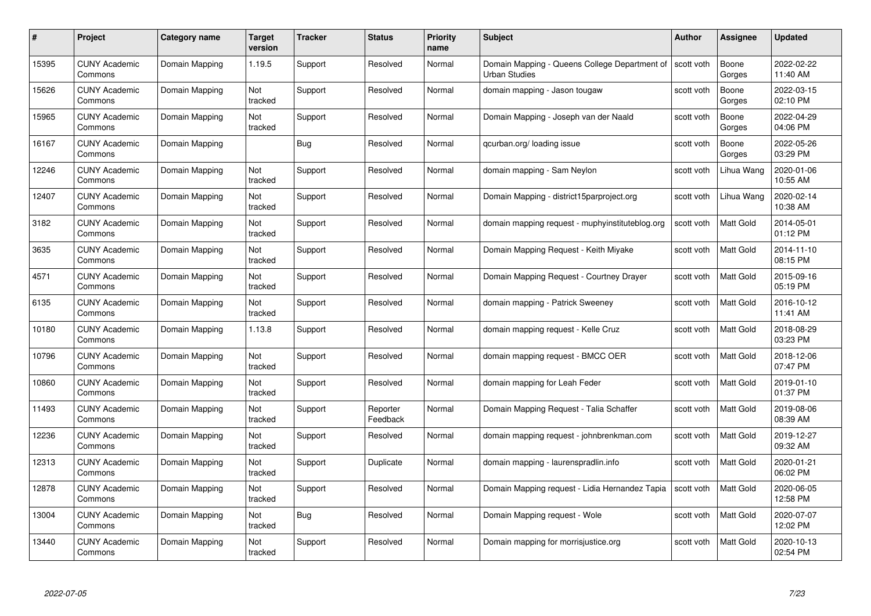| #     | Project                         | <b>Category name</b> | <b>Target</b><br>version | <b>Tracker</b> | <b>Status</b>        | <b>Priority</b><br>name | <b>Subject</b>                                                                     | <b>Author</b> | <b>Assignee</b>  | <b>Updated</b>         |
|-------|---------------------------------|----------------------|--------------------------|----------------|----------------------|-------------------------|------------------------------------------------------------------------------------|---------------|------------------|------------------------|
| 15395 | <b>CUNY Academic</b><br>Commons | Domain Mapping       | 1.19.5                   | Support        | Resolved             | Normal                  | Domain Mapping - Queens College Department of   scott voth<br><b>Urban Studies</b> |               | Boone<br>Gorges  | 2022-02-22<br>11:40 AM |
| 15626 | <b>CUNY Academic</b><br>Commons | Domain Mapping       | Not<br>tracked           | Support        | Resolved             | Normal                  | domain mapping - Jason tougaw                                                      | scott voth    | Boone<br>Gorges  | 2022-03-15<br>02:10 PM |
| 15965 | <b>CUNY Academic</b><br>Commons | Domain Mapping       | Not<br>tracked           | Support        | Resolved             | Normal                  | Domain Mapping - Joseph van der Naald                                              | scott voth    | Boone<br>Gorges  | 2022-04-29<br>04:06 PM |
| 16167 | <b>CUNY Academic</b><br>Commons | Domain Mapping       |                          | <b>Bug</b>     | Resolved             | Normal                  | qcurban.org/loading issue                                                          | scott voth    | Boone<br>Gorges  | 2022-05-26<br>03:29 PM |
| 12246 | <b>CUNY Academic</b><br>Commons | Domain Mapping       | Not<br>tracked           | Support        | Resolved             | Normal                  | domain mapping - Sam Neylon                                                        | scott voth    | Lihua Wang       | 2020-01-06<br>10:55 AM |
| 12407 | <b>CUNY Academic</b><br>Commons | Domain Mapping       | Not<br>tracked           | Support        | Resolved             | Normal                  | Domain Mapping - district15parproject.org                                          | scott voth    | Lihua Wang       | 2020-02-14<br>10:38 AM |
| 3182  | <b>CUNY Academic</b><br>Commons | Domain Mapping       | Not<br>tracked           | Support        | Resolved             | Normal                  | domain mapping request - muphyinstituteblog.org                                    | scott voth    | Matt Gold        | 2014-05-01<br>01:12 PM |
| 3635  | <b>CUNY Academic</b><br>Commons | Domain Mapping       | Not<br>tracked           | Support        | Resolved             | Normal                  | Domain Mapping Request - Keith Miyake                                              | scott voth    | Matt Gold        | 2014-11-10<br>08:15 PM |
| 4571  | <b>CUNY Academic</b><br>Commons | Domain Mapping       | Not<br>tracked           | Support        | Resolved             | Normal                  | Domain Mapping Request - Courtney Drayer                                           | scott voth    | <b>Matt Gold</b> | 2015-09-16<br>05:19 PM |
| 6135  | <b>CUNY Academic</b><br>Commons | Domain Mapping       | Not<br>tracked           | Support        | Resolved             | Normal                  | domain mapping - Patrick Sweeney                                                   | scott voth    | Matt Gold        | 2016-10-12<br>11:41 AM |
| 10180 | <b>CUNY Academic</b><br>Commons | Domain Mapping       | 1.13.8                   | Support        | Resolved             | Normal                  | domain mapping request - Kelle Cruz                                                | scott voth    | Matt Gold        | 2018-08-29<br>03:23 PM |
| 10796 | <b>CUNY Academic</b><br>Commons | Domain Mapping       | Not<br>tracked           | Support        | Resolved             | Normal                  | domain mapping request - BMCC OER                                                  | scott voth    | Matt Gold        | 2018-12-06<br>07:47 PM |
| 10860 | <b>CUNY Academic</b><br>Commons | Domain Mapping       | Not<br>tracked           | Support        | Resolved             | Normal                  | domain mapping for Leah Feder                                                      | scott voth    | <b>Matt Gold</b> | 2019-01-10<br>01:37 PM |
| 11493 | <b>CUNY Academic</b><br>Commons | Domain Mapping       | Not<br>tracked           | Support        | Reporter<br>Feedback | Normal                  | Domain Mapping Request - Talia Schaffer                                            | scott voth    | Matt Gold        | 2019-08-06<br>08:39 AM |
| 12236 | <b>CUNY Academic</b><br>Commons | Domain Mapping       | Not<br>tracked           | Support        | Resolved             | Normal                  | domain mapping request - johnbrenkman.com                                          | scott voth    | Matt Gold        | 2019-12-27<br>09:32 AM |
| 12313 | <b>CUNY Academic</b><br>Commons | Domain Mapping       | Not<br>tracked           | Support        | Duplicate            | Normal                  | domain mapping - laurenspradlin.info                                               | scott voth    | Matt Gold        | 2020-01-21<br>06:02 PM |
| 12878 | <b>CUNY Academic</b><br>Commons | Domain Mapping       | Not<br>tracked           | Support        | Resolved             | Normal                  | Domain Mapping request - Lidia Hernandez Tapia                                     | scott voth    | Matt Gold        | 2020-06-05<br>12:58 PM |
| 13004 | <b>CUNY Academic</b><br>Commons | Domain Mapping       | Not<br>tracked           | Bug            | Resolved             | Normal                  | Domain Mapping request - Wole                                                      | scott voth    | Matt Gold        | 2020-07-07<br>12:02 PM |
| 13440 | CUNY Academic<br>Commons        | Domain Mapping       | Not<br>tracked           | Support        | Resolved             | Normal                  | Domain mapping for morrisjustice.org                                               | scott voth    | Matt Gold        | 2020-10-13<br>02:54 PM |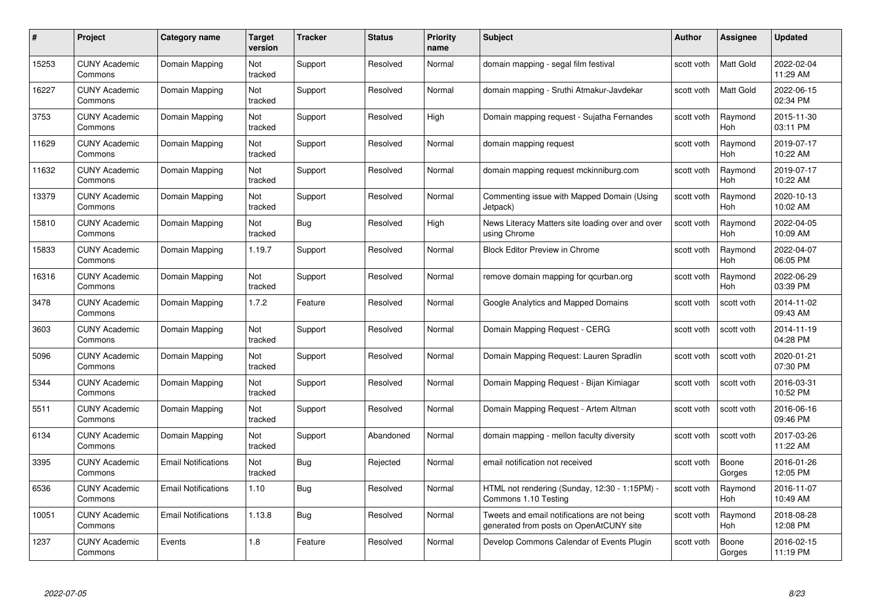| #     | Project                         | Category name              | Target<br>version | <b>Tracker</b> | <b>Status</b> | <b>Priority</b><br>name | <b>Subject</b>                                                                          | <b>Author</b> | <b>Assignee</b>       | <b>Updated</b>         |
|-------|---------------------------------|----------------------------|-------------------|----------------|---------------|-------------------------|-----------------------------------------------------------------------------------------|---------------|-----------------------|------------------------|
| 15253 | <b>CUNY Academic</b><br>Commons | Domain Mapping             | Not<br>tracked    | Support        | Resolved      | Normal                  | domain mapping - segal film festival                                                    | scott voth    | <b>Matt Gold</b>      | 2022-02-04<br>11:29 AM |
| 16227 | <b>CUNY Academic</b><br>Commons | Domain Mapping             | Not<br>tracked    | Support        | Resolved      | Normal                  | domain mapping - Sruthi Atmakur-Javdekar                                                | scott voth    | Matt Gold             | 2022-06-15<br>02:34 PM |
| 3753  | <b>CUNY Academic</b><br>Commons | Domain Mapping             | Not<br>tracked    | Support        | Resolved      | High                    | Domain mapping request - Sujatha Fernandes                                              | scott voth    | Raymond<br>Hoh        | 2015-11-30<br>03:11 PM |
| 11629 | <b>CUNY Academic</b><br>Commons | Domain Mapping             | Not<br>tracked    | Support        | Resolved      | Normal                  | domain mapping request                                                                  | scott voth    | Raymond<br><b>Hoh</b> | 2019-07-17<br>10:22 AM |
| 11632 | <b>CUNY Academic</b><br>Commons | Domain Mapping             | Not<br>tracked    | Support        | Resolved      | Normal                  | domain mapping request mckinniburg.com                                                  | scott voth    | Raymond<br>Hoh        | 2019-07-17<br>10:22 AM |
| 13379 | <b>CUNY Academic</b><br>Commons | Domain Mapping             | Not<br>tracked    | Support        | Resolved      | Normal                  | Commenting issue with Mapped Domain (Using<br>Jetpack)                                  | scott voth    | Raymond<br>Hoh        | 2020-10-13<br>10:02 AM |
| 15810 | <b>CUNY Academic</b><br>Commons | Domain Mapping             | Not<br>tracked    | Bug            | Resolved      | High                    | News Literacy Matters site loading over and over<br>using Chrome                        | scott voth    | Raymond<br><b>Hoh</b> | 2022-04-05<br>10:09 AM |
| 15833 | <b>CUNY Academic</b><br>Commons | Domain Mapping             | 1.19.7            | Support        | Resolved      | Normal                  | <b>Block Editor Preview in Chrome</b>                                                   | scott voth    | Raymond<br>Hoh        | 2022-04-07<br>06:05 PM |
| 16316 | <b>CUNY Academic</b><br>Commons | Domain Mapping             | Not<br>tracked    | Support        | Resolved      | Normal                  | remove domain mapping for gcurban.org                                                   | scott voth    | Raymond<br><b>Hoh</b> | 2022-06-29<br>03:39 PM |
| 3478  | <b>CUNY Academic</b><br>Commons | Domain Mapping             | 1.7.2             | Feature        | Resolved      | Normal                  | Google Analytics and Mapped Domains                                                     | scott voth    | scott voth            | 2014-11-02<br>09:43 AM |
| 3603  | <b>CUNY Academic</b><br>Commons | Domain Mapping             | Not<br>tracked    | Support        | Resolved      | Normal                  | Domain Mapping Request - CERG                                                           | scott voth    | scott voth            | 2014-11-19<br>04:28 PM |
| 5096  | <b>CUNY Academic</b><br>Commons | Domain Mapping             | Not<br>tracked    | Support        | Resolved      | Normal                  | Domain Mapping Request: Lauren Spradlin                                                 | scott voth    | scott voth            | 2020-01-21<br>07:30 PM |
| 5344  | <b>CUNY Academic</b><br>Commons | Domain Mapping             | Not<br>tracked    | Support        | Resolved      | Normal                  | Domain Mapping Request - Bijan Kimiagar                                                 | scott voth    | scott voth            | 2016-03-31<br>10:52 PM |
| 5511  | <b>CUNY Academic</b><br>Commons | Domain Mapping             | Not<br>tracked    | Support        | Resolved      | Normal                  | Domain Mapping Request - Artem Altman                                                   | scott voth    | scott voth            | 2016-06-16<br>09:46 PM |
| 6134  | <b>CUNY Academic</b><br>Commons | Domain Mapping             | Not<br>tracked    | Support        | Abandoned     | Normal                  | domain mapping - mellon faculty diversity                                               | scott voth    | scott voth            | 2017-03-26<br>11:22 AM |
| 3395  | <b>CUNY Academic</b><br>Commons | <b>Email Notifications</b> | Not<br>tracked    | Bug            | Rejected      | Normal                  | email notification not received                                                         | scott voth    | Boone<br>Gorges       | 2016-01-26<br>12:05 PM |
| 6536  | <b>CUNY Academic</b><br>Commons | <b>Email Notifications</b> | 1.10              | Bug            | Resolved      | Normal                  | HTML not rendering (Sunday, 12:30 - 1:15PM) -<br>Commons 1.10 Testing                   | scott voth    | Raymond<br><b>Hoh</b> | 2016-11-07<br>10:49 AM |
| 10051 | <b>CUNY Academic</b><br>Commons | <b>Email Notifications</b> | 1.13.8            | Bug            | Resolved      | Normal                  | Tweets and email notifications are not being<br>generated from posts on OpenAtCUNY site | scott voth    | Raymond<br><b>Hoh</b> | 2018-08-28<br>12:08 PM |
| 1237  | <b>CUNY Academic</b><br>Commons | Events                     | 1.8               | Feature        | Resolved      | Normal                  | Develop Commons Calendar of Events Plugin                                               | scott voth    | Boone<br>Gorges       | 2016-02-15<br>11:19 PM |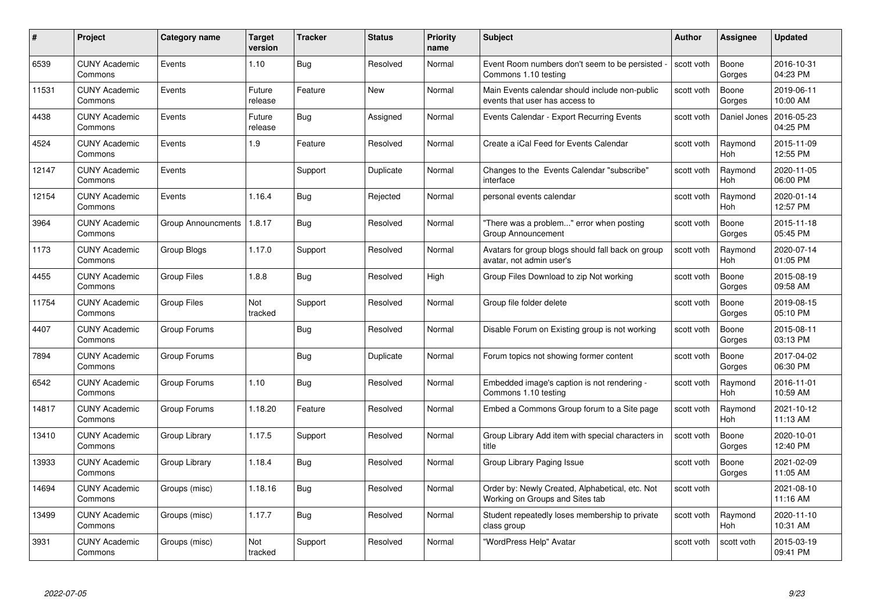| #     | Project                         | Category name             | <b>Target</b><br>version | <b>Tracker</b> | <b>Status</b> | <b>Priority</b><br>name | <b>Subject</b>                                                                     | <b>Author</b> | Assignee              | <b>Updated</b>         |
|-------|---------------------------------|---------------------------|--------------------------|----------------|---------------|-------------------------|------------------------------------------------------------------------------------|---------------|-----------------------|------------------------|
| 6539  | <b>CUNY Academic</b><br>Commons | Events                    | 1.10                     | Bug            | Resolved      | Normal                  | Event Room numbers don't seem to be persisted<br>Commons 1.10 testing              | scott voth    | Boone<br>Gorges       | 2016-10-31<br>04:23 PM |
| 11531 | <b>CUNY Academic</b><br>Commons | Events                    | Future<br>release        | Feature        | New           | Normal                  | Main Events calendar should include non-public<br>events that user has access to   | scott voth    | Boone<br>Gorges       | 2019-06-11<br>10:00 AM |
| 4438  | <b>CUNY Academic</b><br>Commons | Events                    | Future<br>release        | <b>Bug</b>     | Assigned      | Normal                  | Events Calendar - Export Recurring Events                                          | scott voth    | Daniel Jones          | 2016-05-23<br>04:25 PM |
| 4524  | <b>CUNY Academic</b><br>Commons | Events                    | 1.9                      | Feature        | Resolved      | Normal                  | Create a iCal Feed for Events Calendar                                             | scott voth    | Raymond<br><b>Hoh</b> | 2015-11-09<br>12:55 PM |
| 12147 | <b>CUNY Academic</b><br>Commons | Events                    |                          | Support        | Duplicate     | Normal                  | Changes to the Events Calendar "subscribe"<br>interface                            | scott voth    | Raymond<br>Hoh        | 2020-11-05<br>06:00 PM |
| 12154 | <b>CUNY Academic</b><br>Commons | Events                    | 1.16.4                   | Bug            | Rejected      | Normal                  | personal events calendar                                                           | scott voth    | Raymond<br>Hoh        | 2020-01-14<br>12:57 PM |
| 3964  | <b>CUNY Academic</b><br>Commons | <b>Group Announcments</b> | 1.8.17                   | Bug            | Resolved      | Normal                  | "There was a problem" error when posting<br><b>Group Announcement</b>              | scott voth    | Boone<br>Gorges       | 2015-11-18<br>05:45 PM |
| 1173  | <b>CUNY Academic</b><br>Commons | Group Blogs               | 1.17.0                   | Support        | Resolved      | Normal                  | Avatars for group blogs should fall back on group<br>avatar, not admin user's      | scott voth    | Raymond<br>Hoh        | 2020-07-14<br>01:05 PM |
| 4455  | <b>CUNY Academic</b><br>Commons | <b>Group Files</b>        | 1.8.8                    | Bug            | Resolved      | High                    | Group Files Download to zip Not working                                            | scott voth    | Boone<br>Gorges       | 2015-08-19<br>09:58 AM |
| 11754 | <b>CUNY Academic</b><br>Commons | <b>Group Files</b>        | Not<br>tracked           | Support        | Resolved      | Normal                  | Group file folder delete                                                           | scott voth    | Boone<br>Gorges       | 2019-08-15<br>05:10 PM |
| 4407  | <b>CUNY Academic</b><br>Commons | Group Forums              |                          | <b>Bug</b>     | Resolved      | Normal                  | Disable Forum on Existing group is not working                                     | scott voth    | Boone<br>Gorges       | 2015-08-11<br>03:13 PM |
| 7894  | <b>CUNY Academic</b><br>Commons | Group Forums              |                          | <b>Bug</b>     | Duplicate     | Normal                  | Forum topics not showing former content                                            | scott voth    | Boone<br>Gorges       | 2017-04-02<br>06:30 PM |
| 6542  | <b>CUNY Academic</b><br>Commons | Group Forums              | 1.10                     | <b>Bug</b>     | Resolved      | Normal                  | Embedded image's caption is not rendering -<br>Commons 1.10 testing                | scott voth    | Raymond<br>Hoh        | 2016-11-01<br>10:59 AM |
| 14817 | <b>CUNY Academic</b><br>Commons | Group Forums              | 1.18.20                  | Feature        | Resolved      | Normal                  | Embed a Commons Group forum to a Site page                                         | scott voth    | Raymond<br>Hoh        | 2021-10-12<br>11:13 AM |
| 13410 | <b>CUNY Academic</b><br>Commons | Group Library             | 1.17.5                   | Support        | Resolved      | Normal                  | Group Library Add item with special characters in<br>title                         | scott voth    | Boone<br>Gorges       | 2020-10-01<br>12:40 PM |
| 13933 | <b>CUNY Academic</b><br>Commons | Group Library             | 1.18.4                   | Bug            | Resolved      | Normal                  | Group Library Paging Issue                                                         | scott voth    | Boone<br>Gorges       | 2021-02-09<br>11:05 AM |
| 14694 | <b>CUNY Academic</b><br>Commons | Groups (misc)             | 1.18.16                  | <b>Bug</b>     | Resolved      | Normal                  | Order by: Newly Created, Alphabetical, etc. Not<br>Working on Groups and Sites tab | scott voth    |                       | 2021-08-10<br>11:16 AM |
| 13499 | <b>CUNY Academic</b><br>Commons | Groups (misc)             | 1.17.7                   | Bug            | Resolved      | Normal                  | Student repeatedly loses membership to private<br>class group                      | scott voth    | Raymond<br><b>Hoh</b> | 2020-11-10<br>10:31 AM |
| 3931  | <b>CUNY Academic</b><br>Commons | Groups (misc)             | Not<br>tracked           | Support        | Resolved      | Normal                  | "WordPress Help" Avatar                                                            | scott voth    | scott voth            | 2015-03-19<br>09:41 PM |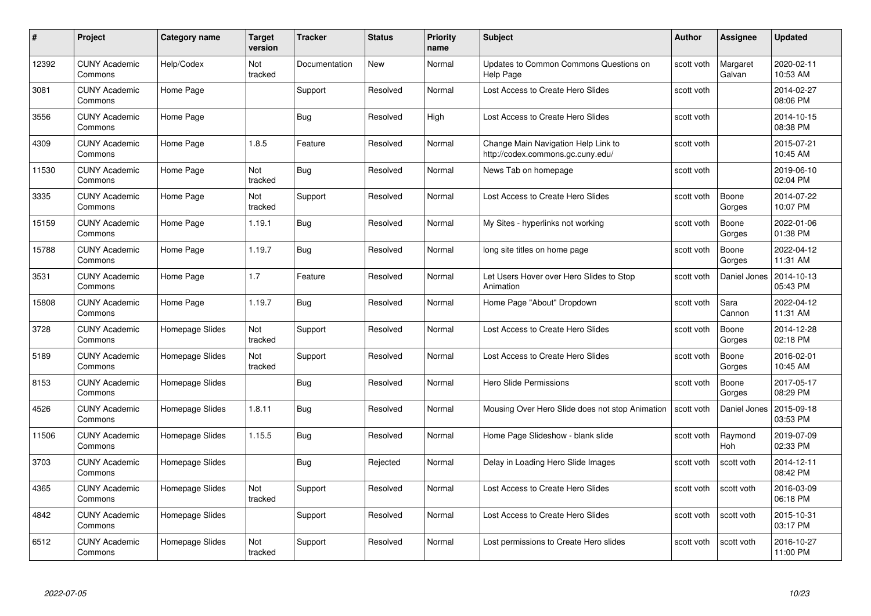| #     | Project                         | <b>Category name</b> | Target<br>version | <b>Tracker</b> | <b>Status</b> | <b>Priority</b><br>name | <b>Subject</b>                                                           | <b>Author</b> | <b>Assignee</b>    | <b>Updated</b>         |
|-------|---------------------------------|----------------------|-------------------|----------------|---------------|-------------------------|--------------------------------------------------------------------------|---------------|--------------------|------------------------|
| 12392 | <b>CUNY Academic</b><br>Commons | Help/Codex           | Not<br>tracked    | Documentation  | <b>New</b>    | Normal                  | Updates to Common Commons Questions on<br><b>Help Page</b>               | scott voth    | Margaret<br>Galvan | 2020-02-11<br>10:53 AM |
| 3081  | <b>CUNY Academic</b><br>Commons | Home Page            |                   | Support        | Resolved      | Normal                  | Lost Access to Create Hero Slides                                        | scott voth    |                    | 2014-02-27<br>08:06 PM |
| 3556  | <b>CUNY Academic</b><br>Commons | Home Page            |                   | Bug            | Resolved      | High                    | Lost Access to Create Hero Slides                                        | scott voth    |                    | 2014-10-15<br>08:38 PM |
| 4309  | <b>CUNY Academic</b><br>Commons | Home Page            | 1.8.5             | Feature        | Resolved      | Normal                  | Change Main Navigation Help Link to<br>http://codex.commons.gc.cuny.edu/ | scott voth    |                    | 2015-07-21<br>10:45 AM |
| 11530 | <b>CUNY Academic</b><br>Commons | Home Page            | Not<br>tracked    | <b>Bug</b>     | Resolved      | Normal                  | News Tab on homepage                                                     | scott voth    |                    | 2019-06-10<br>02:04 PM |
| 3335  | <b>CUNY Academic</b><br>Commons | Home Page            | Not<br>tracked    | Support        | Resolved      | Normal                  | Lost Access to Create Hero Slides                                        | scott voth    | Boone<br>Gorges    | 2014-07-22<br>10:07 PM |
| 15159 | <b>CUNY Academic</b><br>Commons | Home Page            | 1.19.1            | Bug            | Resolved      | Normal                  | My Sites - hyperlinks not working                                        | scott voth    | Boone<br>Gorges    | 2022-01-06<br>01:38 PM |
| 15788 | <b>CUNY Academic</b><br>Commons | Home Page            | 1.19.7            | Bug            | Resolved      | Normal                  | long site titles on home page                                            | scott voth    | Boone<br>Gorges    | 2022-04-12<br>11:31 AM |
| 3531  | <b>CUNY Academic</b><br>Commons | Home Page            | 1.7               | Feature        | Resolved      | Normal                  | Let Users Hover over Hero Slides to Stop<br>Animation                    | scott voth    | Daniel Jones       | 2014-10-13<br>05:43 PM |
| 15808 | <b>CUNY Academic</b><br>Commons | Home Page            | 1.19.7            | Bug            | Resolved      | Normal                  | Home Page "About" Dropdown                                               | scott voth    | Sara<br>Cannon     | 2022-04-12<br>11:31 AM |
| 3728  | CUNY Academic<br>Commons        | Homepage Slides      | Not<br>tracked    | Support        | Resolved      | Normal                  | Lost Access to Create Hero Slides                                        | scott voth    | Boone<br>Gorges    | 2014-12-28<br>02:18 PM |
| 5189  | <b>CUNY Academic</b><br>Commons | Homepage Slides      | Not<br>tracked    | Support        | Resolved      | Normal                  | Lost Access to Create Hero Slides                                        | scott voth    | Boone<br>Gorges    | 2016-02-01<br>10:45 AM |
| 8153  | <b>CUNY Academic</b><br>Commons | Homepage Slides      |                   | Bug            | Resolved      | Normal                  | <b>Hero Slide Permissions</b>                                            | scott voth    | Boone<br>Gorges    | 2017-05-17<br>08:29 PM |
| 4526  | <b>CUNY Academic</b><br>Commons | Homepage Slides      | 1.8.11            | <b>Bug</b>     | Resolved      | Normal                  | Mousing Over Hero Slide does not stop Animation                          | scott voth    | Daniel Jones       | 2015-09-18<br>03:53 PM |
| 11506 | <b>CUNY Academic</b><br>Commons | Homepage Slides      | 1.15.5            | Bug            | Resolved      | Normal                  | Home Page Slideshow - blank slide                                        | scott voth    | Raymond<br>Hoh     | 2019-07-09<br>02:33 PM |
| 3703  | <b>CUNY Academic</b><br>Commons | Homepage Slides      |                   | Bug            | Rejected      | Normal                  | Delay in Loading Hero Slide Images                                       | scott voth    | scott voth         | 2014-12-11<br>08:42 PM |
| 4365  | <b>CUNY Academic</b><br>Commons | Homepage Slides      | Not<br>tracked    | Support        | Resolved      | Normal                  | Lost Access to Create Hero Slides                                        | scott voth    | scott voth         | 2016-03-09<br>06:18 PM |
| 4842  | <b>CUNY Academic</b><br>Commons | Homepage Slides      |                   | Support        | Resolved      | Normal                  | Lost Access to Create Hero Slides                                        | scott voth    | scott voth         | 2015-10-31<br>03:17 PM |
| 6512  | CUNY Academic<br>Commons        | Homepage Slides      | Not<br>tracked    | Support        | Resolved      | Normal                  | Lost permissions to Create Hero slides                                   | scott voth    | scott voth         | 2016-10-27<br>11:00 PM |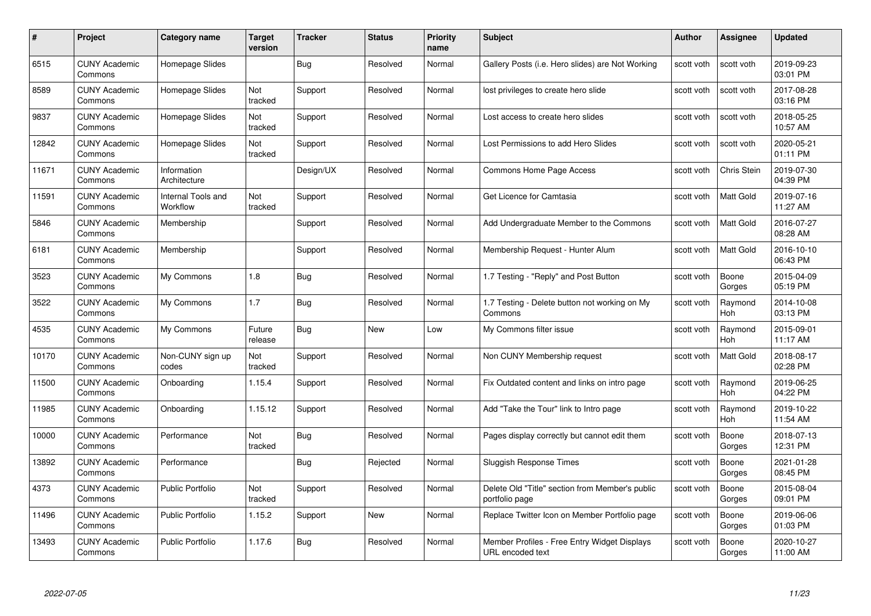| #     | Project                         | Category name                         | Target<br>version | <b>Tracker</b> | <b>Status</b> | <b>Priority</b><br>name | <b>Subject</b>                                                    | <b>Author</b> | <b>Assignee</b>       | <b>Updated</b>         |
|-------|---------------------------------|---------------------------------------|-------------------|----------------|---------------|-------------------------|-------------------------------------------------------------------|---------------|-----------------------|------------------------|
| 6515  | <b>CUNY Academic</b><br>Commons | Homepage Slides                       |                   | Bug            | Resolved      | Normal                  | Gallery Posts (i.e. Hero slides) are Not Working                  | scott voth    | scott voth            | 2019-09-23<br>03:01 PM |
| 8589  | <b>CUNY Academic</b><br>Commons | Homepage Slides                       | Not<br>tracked    | Support        | Resolved      | Normal                  | lost privileges to create hero slide                              | scott voth    | scott voth            | 2017-08-28<br>03:16 PM |
| 9837  | <b>CUNY Academic</b><br>Commons | Homepage Slides                       | Not<br>tracked    | Support        | Resolved      | Normal                  | Lost access to create hero slides                                 | scott voth    | scott voth            | 2018-05-25<br>10:57 AM |
| 12842 | <b>CUNY Academic</b><br>Commons | Homepage Slides                       | Not<br>tracked    | Support        | Resolved      | Normal                  | Lost Permissions to add Hero Slides                               | scott voth    | scott voth            | 2020-05-21<br>01:11 PM |
| 11671 | <b>CUNY Academic</b><br>Commons | Information<br>Architecture           |                   | Design/UX      | Resolved      | Normal                  | Commons Home Page Access                                          | scott voth    | Chris Stein           | 2019-07-30<br>04:39 PM |
| 11591 | <b>CUNY Academic</b><br>Commons | <b>Internal Tools and</b><br>Workflow | Not<br>tracked    | Support        | Resolved      | Normal                  | Get Licence for Camtasia                                          | scott voth    | <b>Matt Gold</b>      | 2019-07-16<br>11:27 AM |
| 5846  | <b>CUNY Academic</b><br>Commons | Membership                            |                   | Support        | Resolved      | Normal                  | Add Undergraduate Member to the Commons                           | scott voth    | Matt Gold             | 2016-07-27<br>08:28 AM |
| 6181  | <b>CUNY Academic</b><br>Commons | Membership                            |                   | Support        | Resolved      | Normal                  | Membership Request - Hunter Alum                                  | scott voth    | Matt Gold             | 2016-10-10<br>06:43 PM |
| 3523  | <b>CUNY Academic</b><br>Commons | My Commons                            | 1.8               | <b>Bug</b>     | Resolved      | Normal                  | 1.7 Testing - "Reply" and Post Button                             | scott voth    | Boone<br>Gorges       | 2015-04-09<br>05:19 PM |
| 3522  | <b>CUNY Academic</b><br>Commons | My Commons                            | 1.7               | <b>Bug</b>     | Resolved      | Normal                  | 1.7 Testing - Delete button not working on My<br>Commons          | scott voth    | Raymond<br><b>Hoh</b> | 2014-10-08<br>03:13 PM |
| 4535  | <b>CUNY Academic</b><br>Commons | My Commons                            | Future<br>release | <b>Bug</b>     | New           | Low                     | My Commons filter issue                                           | scott voth    | Raymond<br><b>Hoh</b> | 2015-09-01<br>11:17 AM |
| 10170 | <b>CUNY Academic</b><br>Commons | Non-CUNY sign up<br>codes             | Not<br>tracked    | Support        | Resolved      | Normal                  | Non CUNY Membership request                                       | scott voth    | Matt Gold             | 2018-08-17<br>02:28 PM |
| 11500 | <b>CUNY Academic</b><br>Commons | Onboarding                            | 1.15.4            | Support        | Resolved      | Normal                  | Fix Outdated content and links on intro page                      | scott voth    | Raymond<br>Hoh        | 2019-06-25<br>04:22 PM |
| 11985 | <b>CUNY Academic</b><br>Commons | Onboarding                            | 1.15.12           | Support        | Resolved      | Normal                  | Add "Take the Tour" link to Intro page                            | scott voth    | Raymond<br><b>Hoh</b> | 2019-10-22<br>11:54 AM |
| 10000 | <b>CUNY Academic</b><br>Commons | Performance                           | Not<br>tracked    | Bug            | Resolved      | Normal                  | Pages display correctly but cannot edit them                      | scott voth    | Boone<br>Gorges       | 2018-07-13<br>12:31 PM |
| 13892 | <b>CUNY Academic</b><br>Commons | Performance                           |                   | <b>Bug</b>     | Rejected      | Normal                  | <b>Sluggish Response Times</b>                                    | scott voth    | Boone<br>Gorges       | 2021-01-28<br>08:45 PM |
| 4373  | <b>CUNY Academic</b><br>Commons | <b>Public Portfolio</b>               | Not<br>tracked    | Support        | Resolved      | Normal                  | Delete Old "Title" section from Member's public<br>portfolio page | scott voth    | Boone<br>Gorges       | 2015-08-04<br>09:01 PM |
| 11496 | <b>CUNY Academic</b><br>Commons | <b>Public Portfolio</b>               | 1.15.2            | Support        | New           | Normal                  | Replace Twitter Icon on Member Portfolio page                     | scott voth    | Boone<br>Gorges       | 2019-06-06<br>01:03 PM |
| 13493 | CUNY Academic<br>Commons        | <b>Public Portfolio</b>               | 1.17.6            | <b>Bug</b>     | Resolved      | Normal                  | Member Profiles - Free Entry Widget Displays<br>URL encoded text  | scott voth    | Boone<br>Gorges       | 2020-10-27<br>11:00 AM |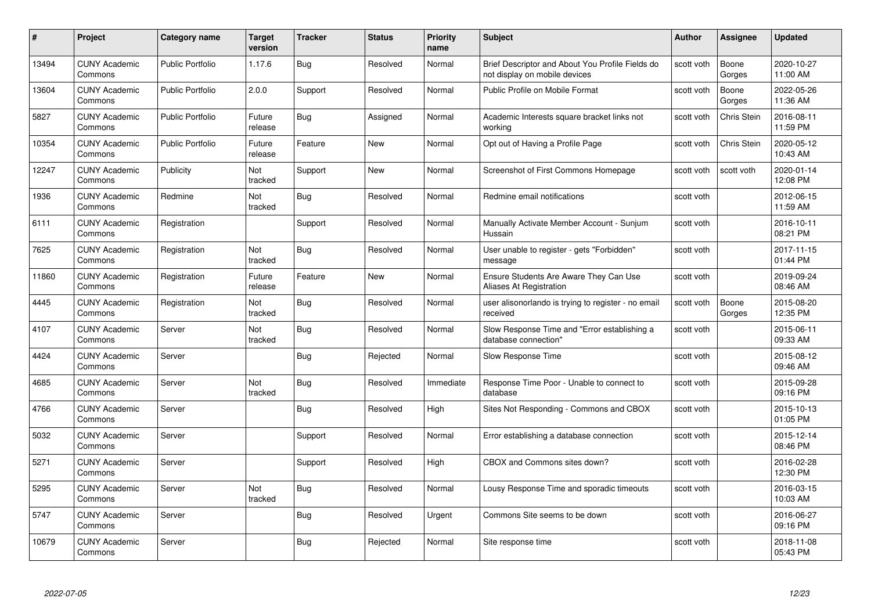| #     | Project                         | <b>Category name</b>    | <b>Target</b><br>version | <b>Tracker</b> | <b>Status</b> | <b>Priority</b><br>name | <b>Subject</b>                                                                    | <b>Author</b> | <b>Assignee</b> | <b>Updated</b>         |
|-------|---------------------------------|-------------------------|--------------------------|----------------|---------------|-------------------------|-----------------------------------------------------------------------------------|---------------|-----------------|------------------------|
| 13494 | <b>CUNY Academic</b><br>Commons | <b>Public Portfolio</b> | 1.17.6                   | Bug            | Resolved      | Normal                  | Brief Descriptor and About You Profile Fields do<br>not display on mobile devices | scott voth    | Boone<br>Gorges | 2020-10-27<br>11:00 AM |
| 13604 | <b>CUNY Academic</b><br>Commons | Public Portfolio        | 2.0.0                    | Support        | Resolved      | Normal                  | Public Profile on Mobile Format                                                   | scott voth    | Boone<br>Gorges | 2022-05-26<br>11:36 AM |
| 5827  | <b>CUNY Academic</b><br>Commons | <b>Public Portfolio</b> | Future<br>release        | <b>Bug</b>     | Assigned      | Normal                  | Academic Interests square bracket links not<br>working                            | scott voth    | Chris Stein     | 2016-08-11<br>11:59 PM |
| 10354 | <b>CUNY Academic</b><br>Commons | Public Portfolio        | Future<br>release        | Feature        | <b>New</b>    | Normal                  | Opt out of Having a Profile Page                                                  | scott voth    | Chris Stein     | 2020-05-12<br>10:43 AM |
| 12247 | <b>CUNY Academic</b><br>Commons | Publicity               | Not<br>tracked           | Support        | New           | Normal                  | Screenshot of First Commons Homepage                                              | scott voth    | scott voth      | 2020-01-14<br>12:08 PM |
| 1936  | <b>CUNY Academic</b><br>Commons | Redmine                 | Not<br>tracked           | Bug            | Resolved      | Normal                  | Redmine email notifications                                                       | scott voth    |                 | 2012-06-15<br>11:59 AM |
| 6111  | <b>CUNY Academic</b><br>Commons | Registration            |                          | Support        | Resolved      | Normal                  | Manually Activate Member Account - Sunjum<br>Hussain                              | scott voth    |                 | 2016-10-11<br>08:21 PM |
| 7625  | <b>CUNY Academic</b><br>Commons | Registration            | Not<br>tracked           | Bug            | Resolved      | Normal                  | User unable to register - gets "Forbidden"<br>message                             | scott voth    |                 | 2017-11-15<br>01:44 PM |
| 11860 | <b>CUNY Academic</b><br>Commons | Registration            | Future<br>release        | Feature        | New           | Normal                  | Ensure Students Are Aware They Can Use<br>Aliases At Registration                 | scott voth    |                 | 2019-09-24<br>08:46 AM |
| 4445  | <b>CUNY Academic</b><br>Commons | Registration            | Not<br>tracked           | <b>Bug</b>     | Resolved      | Normal                  | user alisonorlando is trying to register - no email<br>received                   | scott voth    | Boone<br>Gorges | 2015-08-20<br>12:35 PM |
| 4107  | CUNY Academic<br>Commons        | Server                  | Not<br>tracked           | Bug            | Resolved      | Normal                  | Slow Response Time and "Error establishing a<br>database connection"              | scott voth    |                 | 2015-06-11<br>09:33 AM |
| 4424  | <b>CUNY Academic</b><br>Commons | Server                  |                          | <b>Bug</b>     | Rejected      | Normal                  | Slow Response Time                                                                | scott voth    |                 | 2015-08-12<br>09:46 AM |
| 4685  | <b>CUNY Academic</b><br>Commons | Server                  | Not<br>tracked           | Bug            | Resolved      | Immediate               | Response Time Poor - Unable to connect to<br>database                             | scott voth    |                 | 2015-09-28<br>09:16 PM |
| 4766  | <b>CUNY Academic</b><br>Commons | Server                  |                          | Bug            | Resolved      | High                    | Sites Not Responding - Commons and CBOX                                           | scott voth    |                 | 2015-10-13<br>01:05 PM |
| 5032  | <b>CUNY Academic</b><br>Commons | Server                  |                          | Support        | Resolved      | Normal                  | Error establishing a database connection                                          | scott voth    |                 | 2015-12-14<br>08:46 PM |
| 5271  | <b>CUNY Academic</b><br>Commons | Server                  |                          | Support        | Resolved      | High                    | CBOX and Commons sites down?                                                      | scott voth    |                 | 2016-02-28<br>12:30 PM |
| 5295  | <b>CUNY Academic</b><br>Commons | Server                  | Not<br>tracked           | <b>Bug</b>     | Resolved      | Normal                  | Lousy Response Time and sporadic timeouts                                         | scott voth    |                 | 2016-03-15<br>10:03 AM |
| 5747  | <b>CUNY Academic</b><br>Commons | Server                  |                          | Bug            | Resolved      | Urgent                  | Commons Site seems to be down                                                     | scott voth    |                 | 2016-06-27<br>09:16 PM |
| 10679 | <b>CUNY Academic</b><br>Commons | Server                  |                          | Bug            | Rejected      | Normal                  | Site response time                                                                | scott voth    |                 | 2018-11-08<br>05:43 PM |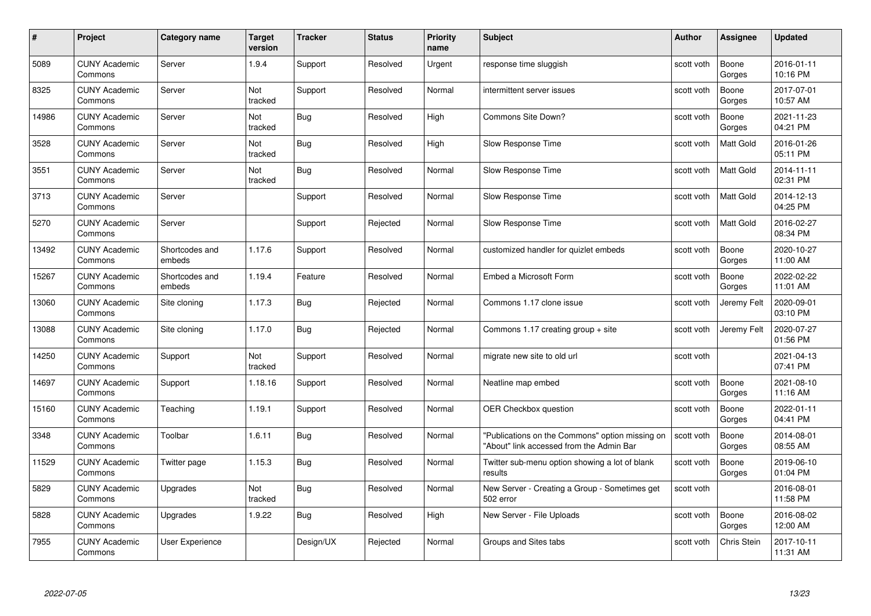| #     | Project                         | <b>Category name</b>     | <b>Target</b><br>version | <b>Tracker</b> | <b>Status</b> | <b>Priority</b><br>name | <b>Subject</b>                                                                              | <b>Author</b> | <b>Assignee</b>    | <b>Updated</b>         |
|-------|---------------------------------|--------------------------|--------------------------|----------------|---------------|-------------------------|---------------------------------------------------------------------------------------------|---------------|--------------------|------------------------|
| 5089  | <b>CUNY Academic</b><br>Commons | Server                   | 1.9.4                    | Support        | Resolved      | Urgent                  | response time sluggish                                                                      | scott voth    | Boone<br>Gorges    | 2016-01-11<br>10:16 PM |
| 8325  | <b>CUNY Academic</b><br>Commons | Server                   | Not<br>tracked           | Support        | Resolved      | Normal                  | intermittent server issues                                                                  | scott voth    | Boone<br>Gorges    | 2017-07-01<br>10:57 AM |
| 14986 | <b>CUNY Academic</b><br>Commons | Server                   | Not<br>tracked           | <b>Bug</b>     | Resolved      | High                    | Commons Site Down?                                                                          | scott voth    | Boone<br>Gorges    | 2021-11-23<br>04:21 PM |
| 3528  | <b>CUNY Academic</b><br>Commons | Server                   | Not<br>tracked           | Bug            | Resolved      | High                    | Slow Response Time                                                                          | scott voth    | Matt Gold          | 2016-01-26<br>05:11 PM |
| 3551  | <b>CUNY Academic</b><br>Commons | Server                   | Not<br>tracked           | <b>Bug</b>     | Resolved      | Normal                  | Slow Response Time                                                                          | scott voth    | <b>Matt Gold</b>   | 2014-11-11<br>02:31 PM |
| 3713  | <b>CUNY Academic</b><br>Commons | Server                   |                          | Support        | Resolved      | Normal                  | Slow Response Time                                                                          | scott voth    | <b>Matt Gold</b>   | 2014-12-13<br>04:25 PM |
| 5270  | <b>CUNY Academic</b><br>Commons | Server                   |                          | Support        | Rejected      | Normal                  | Slow Response Time                                                                          | scott voth    | <b>Matt Gold</b>   | 2016-02-27<br>08:34 PM |
| 13492 | <b>CUNY Academic</b><br>Commons | Shortcodes and<br>embeds | 1.17.6                   | Support        | Resolved      | Normal                  | customized handler for quizlet embeds                                                       | scott voth    | Boone<br>Gorges    | 2020-10-27<br>11:00 AM |
| 15267 | <b>CUNY Academic</b><br>Commons | Shortcodes and<br>embeds | 1.19.4                   | Feature        | Resolved      | Normal                  | Embed a Microsoft Form                                                                      | scott voth    | Boone<br>Gorges    | 2022-02-22<br>11:01 AM |
| 13060 | <b>CUNY Academic</b><br>Commons | Site cloning             | 1.17.3                   | Bug            | Rejected      | Normal                  | Commons 1.17 clone issue                                                                    | scott voth    | Jeremy Felt        | 2020-09-01<br>03:10 PM |
| 13088 | <b>CUNY Academic</b><br>Commons | Site cloning             | 1.17.0                   | Bug            | Rejected      | Normal                  | Commons 1.17 creating group + site                                                          | scott voth    | Jeremy Felt        | 2020-07-27<br>01:56 PM |
| 14250 | <b>CUNY Academic</b><br>Commons | Support                  | Not<br>tracked           | Support        | Resolved      | Normal                  | migrate new site to old url                                                                 | scott voth    |                    | 2021-04-13<br>07:41 PM |
| 14697 | <b>CUNY Academic</b><br>Commons | Support                  | 1.18.16                  | Support        | Resolved      | Normal                  | Neatline map embed                                                                          | scott voth    | Boone<br>Gorges    | 2021-08-10<br>11:16 AM |
| 15160 | <b>CUNY Academic</b><br>Commons | Teaching                 | 1.19.1                   | Support        | Resolved      | Normal                  | OER Checkbox question                                                                       | scott voth    | Boone<br>Gorges    | 2022-01-11<br>04:41 PM |
| 3348  | <b>CUNY Academic</b><br>Commons | Toolbar                  | 1.6.11                   | Bug            | Resolved      | Normal                  | "Publications on the Commons" option missing on<br>"About" link accessed from the Admin Bar | scott voth    | Boone<br>Gorges    | 2014-08-01<br>08:55 AM |
| 11529 | <b>CUNY Academic</b><br>Commons | Twitter page             | 1.15.3                   | Bug            | Resolved      | Normal                  | Twitter sub-menu option showing a lot of blank<br>results                                   | scott voth    | Boone<br>Gorges    | 2019-06-10<br>01:04 PM |
| 5829  | <b>CUNY Academic</b><br>Commons | Upgrades                 | Not<br>tracked           | <b>Bug</b>     | Resolved      | Normal                  | New Server - Creating a Group - Sometimes get<br>502 error                                  | scott voth    |                    | 2016-08-01<br>11:58 PM |
| 5828  | <b>CUNY Academic</b><br>Commons | Upgrades                 | 1.9.22                   | Bug            | Resolved      | High                    | New Server - File Uploads                                                                   | scott voth    | Boone<br>Gorges    | 2016-08-02<br>12:00 AM |
| 7955  | <b>CUNY Academic</b><br>Commons | User Experience          |                          | Design/UX      | Rejected      | Normal                  | Groups and Sites tabs                                                                       | scott voth    | <b>Chris Stein</b> | 2017-10-11<br>11:31 AM |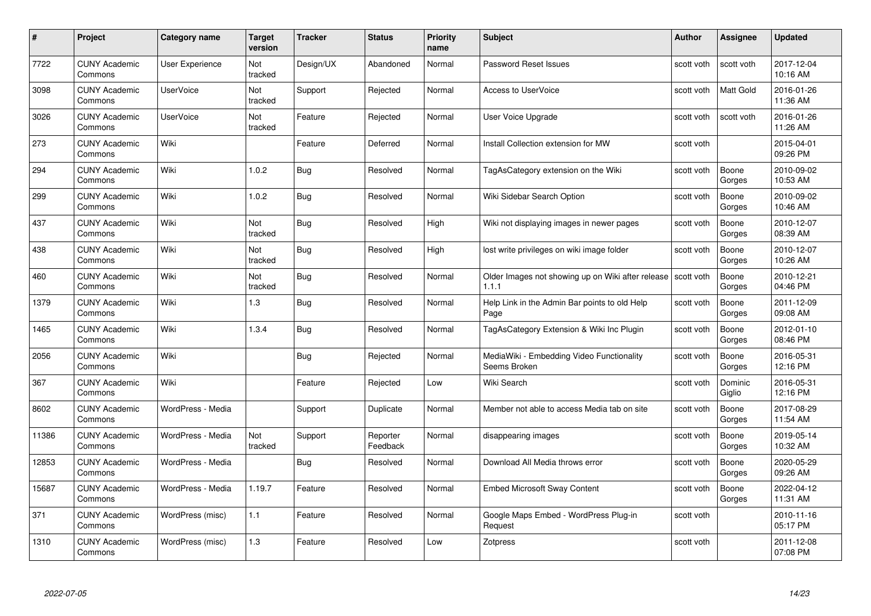| #     | Project                         | <b>Category name</b> | <b>Target</b><br>version | <b>Tracker</b> | <b>Status</b>        | <b>Priority</b><br>name | <b>Subject</b>                                                          | <b>Author</b> | <b>Assignee</b>   | <b>Updated</b>         |
|-------|---------------------------------|----------------------|--------------------------|----------------|----------------------|-------------------------|-------------------------------------------------------------------------|---------------|-------------------|------------------------|
| 7722  | <b>CUNY Academic</b><br>Commons | User Experience      | <b>Not</b><br>tracked    | Design/UX      | Abandoned            | Normal                  | Password Reset Issues                                                   | scott voth    | scott voth        | 2017-12-04<br>10:16 AM |
| 3098  | <b>CUNY Academic</b><br>Commons | <b>UserVoice</b>     | <b>Not</b><br>tracked    | Support        | Rejected             | Normal                  | <b>Access to UserVoice</b>                                              | scott voth    | Matt Gold         | 2016-01-26<br>11:36 AM |
| 3026  | <b>CUNY Academic</b><br>Commons | <b>UserVoice</b>     | Not<br>tracked           | Feature        | Rejected             | Normal                  | User Voice Upgrade                                                      | scott voth    | scott voth        | 2016-01-26<br>11:26 AM |
| 273   | <b>CUNY Academic</b><br>Commons | Wiki                 |                          | Feature        | Deferred             | Normal                  | Install Collection extension for MW                                     | scott voth    |                   | 2015-04-01<br>09:26 PM |
| 294   | <b>CUNY Academic</b><br>Commons | Wiki                 | 1.0.2                    | <b>Bug</b>     | Resolved             | Normal                  | TagAsCategory extension on the Wiki                                     | scott voth    | Boone<br>Gorges   | 2010-09-02<br>10:53 AM |
| 299   | <b>CUNY Academic</b><br>Commons | Wiki                 | 1.0.2                    | <b>Bug</b>     | Resolved             | Normal                  | Wiki Sidebar Search Option                                              | scott voth    | Boone<br>Gorges   | 2010-09-02<br>10:46 AM |
| 437   | <b>CUNY Academic</b><br>Commons | Wiki                 | Not<br>tracked           | <b>Bug</b>     | Resolved             | High                    | Wiki not displaying images in newer pages                               | scott voth    | Boone<br>Gorges   | 2010-12-07<br>08:39 AM |
| 438   | <b>CUNY Academic</b><br>Commons | Wiki                 | Not<br>tracked           | <b>Bug</b>     | Resolved             | High                    | lost write privileges on wiki image folder                              | scott voth    | Boone<br>Gorges   | 2010-12-07<br>10:26 AM |
| 460   | <b>CUNY Academic</b><br>Commons | Wiki                 | Not<br>tracked           | <b>Bug</b>     | Resolved             | Normal                  | Older Images not showing up on Wiki after release   scott voth<br>1.1.1 |               | Boone<br>Gorges   | 2010-12-21<br>04:46 PM |
| 1379  | <b>CUNY Academic</b><br>Commons | Wiki                 | 1.3                      | <b>Bug</b>     | Resolved             | Normal                  | Help Link in the Admin Bar points to old Help<br>Page                   | scott voth    | Boone<br>Gorges   | 2011-12-09<br>09:08 AM |
| 1465  | <b>CUNY Academic</b><br>Commons | Wiki                 | 1.3.4                    | Bug            | Resolved             | Normal                  | TagAsCategory Extension & Wiki Inc Plugin                               | scott voth    | Boone<br>Gorges   | 2012-01-10<br>08:46 PM |
| 2056  | <b>CUNY Academic</b><br>Commons | Wiki                 |                          | <b>Bug</b>     | Rejected             | Normal                  | MediaWiki - Embedding Video Functionality<br>Seems Broken               | scott voth    | Boone<br>Gorges   | 2016-05-31<br>12:16 PM |
| 367   | <b>CUNY Academic</b><br>Commons | Wiki                 |                          | Feature        | Rejected             | Low                     | Wiki Search                                                             | scott voth    | Dominic<br>Giglio | 2016-05-31<br>12:16 PM |
| 8602  | <b>CUNY Academic</b><br>Commons | WordPress - Media    |                          | Support        | Duplicate            | Normal                  | Member not able to access Media tab on site                             | scott voth    | Boone<br>Gorges   | 2017-08-29<br>11:54 AM |
| 11386 | <b>CUNY Academic</b><br>Commons | WordPress - Media    | Not<br>tracked           | Support        | Reporter<br>Feedback | Normal                  | disappearing images                                                     | scott voth    | Boone<br>Gorges   | 2019-05-14<br>10:32 AM |
| 12853 | <b>CUNY Academic</b><br>Commons | WordPress - Media    |                          | <b>Bug</b>     | Resolved             | Normal                  | Download All Media throws error                                         | scott voth    | Boone<br>Gorges   | 2020-05-29<br>09:26 AM |
| 15687 | <b>CUNY Academic</b><br>Commons | WordPress - Media    | 1.19.7                   | Feature        | Resolved             | Normal                  | <b>Embed Microsoft Sway Content</b>                                     | scott voth    | Boone<br>Gorges   | 2022-04-12<br>11:31 AM |
| 371   | <b>CUNY Academic</b><br>Commons | WordPress (misc)     | 1.1                      | Feature        | Resolved             | Normal                  | Google Maps Embed - WordPress Plug-in<br>Request                        | scott voth    |                   | 2010-11-16<br>05:17 PM |
| 1310  | <b>CUNY Academic</b><br>Commons | WordPress (misc)     | 1.3                      | Feature        | Resolved             | Low                     | Zotpress                                                                | scott voth    |                   | 2011-12-08<br>07:08 PM |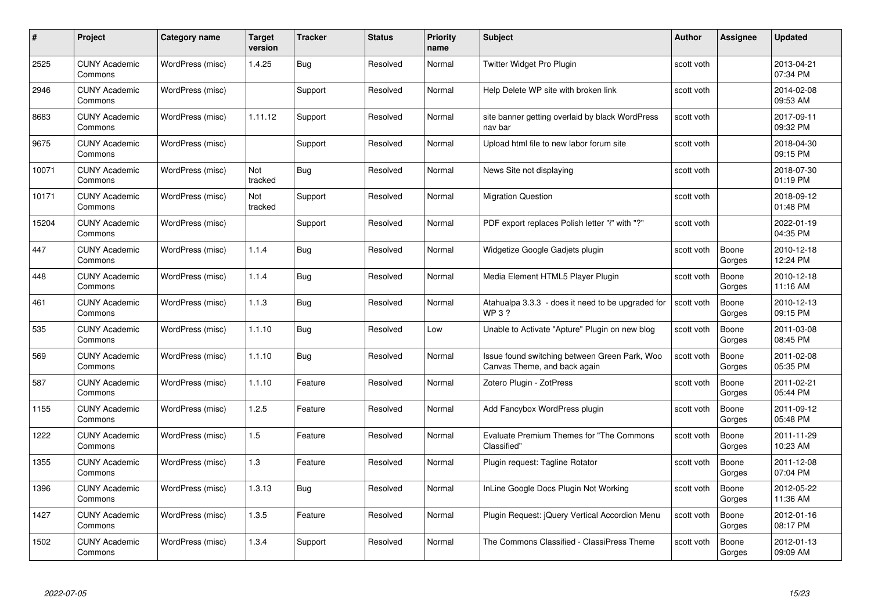| #     | Project                         | Category name    | <b>Target</b><br>version | <b>Tracker</b> | <b>Status</b> | <b>Priority</b><br>name | <b>Subject</b>                                                                | <b>Author</b> | Assignee        | <b>Updated</b>         |
|-------|---------------------------------|------------------|--------------------------|----------------|---------------|-------------------------|-------------------------------------------------------------------------------|---------------|-----------------|------------------------|
| 2525  | <b>CUNY Academic</b><br>Commons | WordPress (misc) | 1.4.25                   | Bug            | Resolved      | Normal                  | Twitter Widget Pro Plugin                                                     | scott voth    |                 | 2013-04-21<br>07:34 PM |
| 2946  | <b>CUNY Academic</b><br>Commons | WordPress (misc) |                          | Support        | Resolved      | Normal                  | Help Delete WP site with broken link                                          | scott voth    |                 | 2014-02-08<br>09:53 AM |
| 8683  | <b>CUNY Academic</b><br>Commons | WordPress (misc) | 1.11.12                  | Support        | Resolved      | Normal                  | site banner getting overlaid by black WordPress<br>nav bar                    | scott voth    |                 | 2017-09-11<br>09:32 PM |
| 9675  | <b>CUNY Academic</b><br>Commons | WordPress (misc) |                          | Support        | Resolved      | Normal                  | Upload html file to new labor forum site                                      | scott voth    |                 | 2018-04-30<br>09:15 PM |
| 10071 | <b>CUNY Academic</b><br>Commons | WordPress (misc) | Not<br>tracked           | <b>Bug</b>     | Resolved      | Normal                  | News Site not displaying                                                      | scott voth    |                 | 2018-07-30<br>01:19 PM |
| 10171 | <b>CUNY Academic</b><br>Commons | WordPress (misc) | <b>Not</b><br>tracked    | Support        | Resolved      | Normal                  | <b>Migration Question</b>                                                     | scott voth    |                 | 2018-09-12<br>01:48 PM |
| 15204 | <b>CUNY Academic</b><br>Commons | WordPress (misc) |                          | Support        | Resolved      | Normal                  | PDF export replaces Polish letter "I" with "?"                                | scott voth    |                 | 2022-01-19<br>04:35 PM |
| 447   | <b>CUNY Academic</b><br>Commons | WordPress (misc) | 1.1.4                    | Bug            | Resolved      | Normal                  | Widgetize Google Gadjets plugin                                               | scott voth    | Boone<br>Gorges | 2010-12-18<br>12:24 PM |
| 448   | <b>CUNY Academic</b><br>Commons | WordPress (misc) | 1.1.4                    | <b>Bug</b>     | Resolved      | Normal                  | Media Element HTML5 Player Plugin                                             | scott voth    | Boone<br>Gorges | 2010-12-18<br>11:16 AM |
| 461   | <b>CUNY Academic</b><br>Commons | WordPress (misc) | 1.1.3                    | <b>Bug</b>     | Resolved      | Normal                  | Atahualpa 3.3.3 - does it need to be upgraded for<br>WP 3 ?                   | scott voth    | Boone<br>Gorges | 2010-12-13<br>09:15 PM |
| 535   | <b>CUNY Academic</b><br>Commons | WordPress (misc) | 1.1.10                   | Bug            | Resolved      | Low                     | Unable to Activate "Apture" Plugin on new blog                                | scott voth    | Boone<br>Gorges | 2011-03-08<br>08:45 PM |
| 569   | <b>CUNY Academic</b><br>Commons | WordPress (misc) | 1.1.10                   | <b>Bug</b>     | Resolved      | Normal                  | Issue found switching between Green Park, Woo<br>Canvas Theme, and back again | scott voth    | Boone<br>Gorges | 2011-02-08<br>05:35 PM |
| 587   | <b>CUNY Academic</b><br>Commons | WordPress (misc) | 1.1.10                   | Feature        | Resolved      | Normal                  | Zotero Plugin - ZotPress                                                      | scott voth    | Boone<br>Gorges | 2011-02-21<br>05:44 PM |
| 1155  | <b>CUNY Academic</b><br>Commons | WordPress (misc) | 1.2.5                    | Feature        | Resolved      | Normal                  | Add Fancybox WordPress plugin                                                 | scott voth    | Boone<br>Gorges | 2011-09-12<br>05:48 PM |
| 1222  | <b>CUNY Academic</b><br>Commons | WordPress (misc) | 1.5                      | Feature        | Resolved      | Normal                  | <b>Evaluate Premium Themes for "The Commons</b><br>Classified"                | scott voth    | Boone<br>Gorges | 2011-11-29<br>10:23 AM |
| 1355  | <b>CUNY Academic</b><br>Commons | WordPress (misc) | 1.3                      | Feature        | Resolved      | Normal                  | Plugin request: Tagline Rotator                                               | scott voth    | Boone<br>Gorges | 2011-12-08<br>07:04 PM |
| 1396  | <b>CUNY Academic</b><br>Commons | WordPress (misc) | 1.3.13                   | <b>Bug</b>     | Resolved      | Normal                  | InLine Google Docs Plugin Not Working                                         | scott voth    | Boone<br>Gorges | 2012-05-22<br>11:36 AM |
| 1427  | <b>CUNY Academic</b><br>Commons | WordPress (misc) | 1.3.5                    | Feature        | Resolved      | Normal                  | Plugin Request: jQuery Vertical Accordion Menu                                | scott voth    | Boone<br>Gorges | 2012-01-16<br>08:17 PM |
| 1502  | CUNY Academic<br>Commons        | WordPress (misc) | 1.3.4                    | Support        | Resolved      | Normal                  | The Commons Classified - ClassiPress Theme                                    | scott voth    | Boone<br>Gorges | 2012-01-13<br>09:09 AM |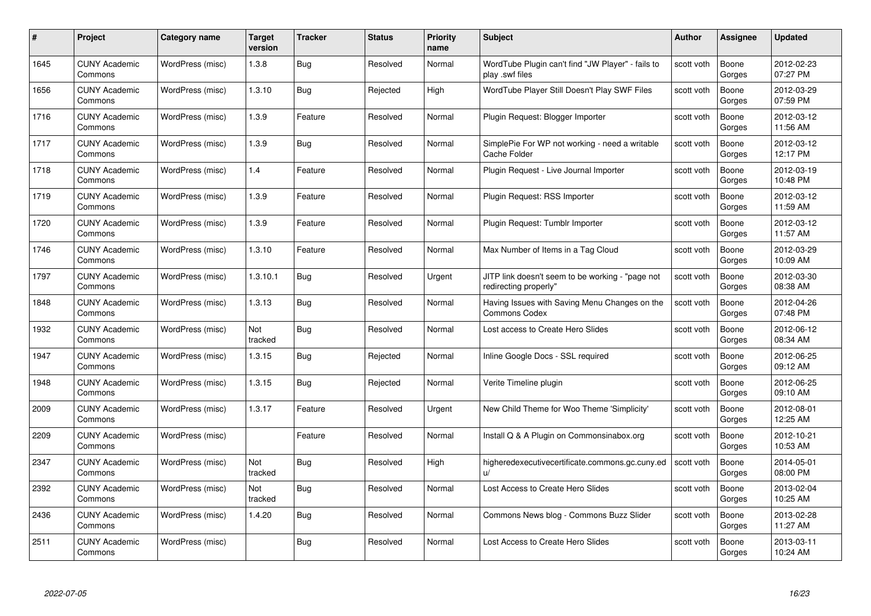| #    | Project                         | <b>Category name</b> | Target<br>version | <b>Tracker</b> | <b>Status</b> | <b>Priority</b><br>name | <b>Subject</b>                                                            | <b>Author</b> | <b>Assignee</b> | <b>Updated</b>         |
|------|---------------------------------|----------------------|-------------------|----------------|---------------|-------------------------|---------------------------------------------------------------------------|---------------|-----------------|------------------------|
| 1645 | <b>CUNY Academic</b><br>Commons | WordPress (misc)     | 1.3.8             | Bug            | Resolved      | Normal                  | WordTube Plugin can't find "JW Player" - fails to<br>play .swf files      | scott voth    | Boone<br>Gorges | 2012-02-23<br>07:27 PM |
| 1656 | <b>CUNY Academic</b><br>Commons | WordPress (misc)     | 1.3.10            | Bug            | Rejected      | High                    | WordTube Player Still Doesn't Play SWF Files                              | scott voth    | Boone<br>Gorges | 2012-03-29<br>07:59 PM |
| 1716 | <b>CUNY Academic</b><br>Commons | WordPress (misc)     | 1.3.9             | Feature        | Resolved      | Normal                  | Plugin Request: Blogger Importer                                          | scott voth    | Boone<br>Gorges | 2012-03-12<br>11:56 AM |
| 1717 | <b>CUNY Academic</b><br>Commons | WordPress (misc)     | 1.3.9             | <b>Bug</b>     | Resolved      | Normal                  | SimplePie For WP not working - need a writable<br>Cache Folder            | scott voth    | Boone<br>Gorges | 2012-03-12<br>12:17 PM |
| 1718 | CUNY Academic<br>Commons        | WordPress (misc)     | 1.4               | Feature        | Resolved      | Normal                  | Plugin Request - Live Journal Importer                                    | scott voth    | Boone<br>Gorges | 2012-03-19<br>10:48 PM |
| 1719 | <b>CUNY Academic</b><br>Commons | WordPress (misc)     | 1.3.9             | Feature        | Resolved      | Normal                  | Plugin Request: RSS Importer                                              | scott voth    | Boone<br>Gorges | 2012-03-12<br>11:59 AM |
| 1720 | <b>CUNY Academic</b><br>Commons | WordPress (misc)     | 1.3.9             | Feature        | Resolved      | Normal                  | Plugin Request: Tumblr Importer                                           | scott voth    | Boone<br>Gorges | 2012-03-12<br>11:57 AM |
| 1746 | <b>CUNY Academic</b><br>Commons | WordPress (misc)     | 1.3.10            | Feature        | Resolved      | Normal                  | Max Number of Items in a Tag Cloud                                        | scott voth    | Boone<br>Gorges | 2012-03-29<br>10:09 AM |
| 1797 | <b>CUNY Academic</b><br>Commons | WordPress (misc)     | 1.3.10.1          | Bug            | Resolved      | Urgent                  | JITP link doesn't seem to be working - "page not<br>redirecting properly" | scott voth    | Boone<br>Gorges | 2012-03-30<br>08:38 AM |
| 1848 | <b>CUNY Academic</b><br>Commons | WordPress (misc)     | 1.3.13            | Bug            | Resolved      | Normal                  | Having Issues with Saving Menu Changes on the<br>Commons Codex            | scott voth    | Boone<br>Gorges | 2012-04-26<br>07:48 PM |
| 1932 | CUNY Academic<br>Commons        | WordPress (misc)     | Not<br>tracked    | <b>Bug</b>     | Resolved      | Normal                  | Lost access to Create Hero Slides                                         | scott voth    | Boone<br>Gorges | 2012-06-12<br>08:34 AM |
| 1947 | <b>CUNY Academic</b><br>Commons | WordPress (misc)     | 1.3.15            | <b>Bug</b>     | Rejected      | Normal                  | Inline Google Docs - SSL required                                         | scott voth    | Boone<br>Gorges | 2012-06-25<br>09:12 AM |
| 1948 | <b>CUNY Academic</b><br>Commons | WordPress (misc)     | 1.3.15            | Bug            | Rejected      | Normal                  | Verite Timeline plugin                                                    | scott voth    | Boone<br>Gorges | 2012-06-25<br>09:10 AM |
| 2009 | <b>CUNY Academic</b><br>Commons | WordPress (misc)     | 1.3.17            | Feature        | Resolved      | Urgent                  | New Child Theme for Woo Theme 'Simplicity'                                | scott voth    | Boone<br>Gorges | 2012-08-01<br>12:25 AM |
| 2209 | <b>CUNY Academic</b><br>Commons | WordPress (misc)     |                   | Feature        | Resolved      | Normal                  | Install Q & A Plugin on Commonsinabox.org                                 | scott voth    | Boone<br>Gorges | 2012-10-21<br>10:53 AM |
| 2347 | <b>CUNY Academic</b><br>Commons | WordPress (misc)     | Not<br>tracked    | Bug            | Resolved      | High                    | higheredexecutivecertificate.commons.gc.cuny.ed<br>$\mathbf{u}$           | scott voth    | Boone<br>Gorges | 2014-05-01<br>08:00 PM |
| 2392 | <b>CUNY Academic</b><br>Commons | WordPress (misc)     | Not<br>tracked    | Bug            | Resolved      | Normal                  | Lost Access to Create Hero Slides                                         | scott voth    | Boone<br>Gorges | 2013-02-04<br>10:25 AM |
| 2436 | <b>CUNY Academic</b><br>Commons | WordPress (misc)     | 1.4.20            | <b>Bug</b>     | Resolved      | Normal                  | Commons News blog - Commons Buzz Slider                                   | scott voth    | Boone<br>Gorges | 2013-02-28<br>11:27 AM |
| 2511 | CUNY Academic<br>Commons        | WordPress (misc)     |                   | Bug            | Resolved      | Normal                  | Lost Access to Create Hero Slides                                         | scott voth    | Boone<br>Gorges | 2013-03-11<br>10:24 AM |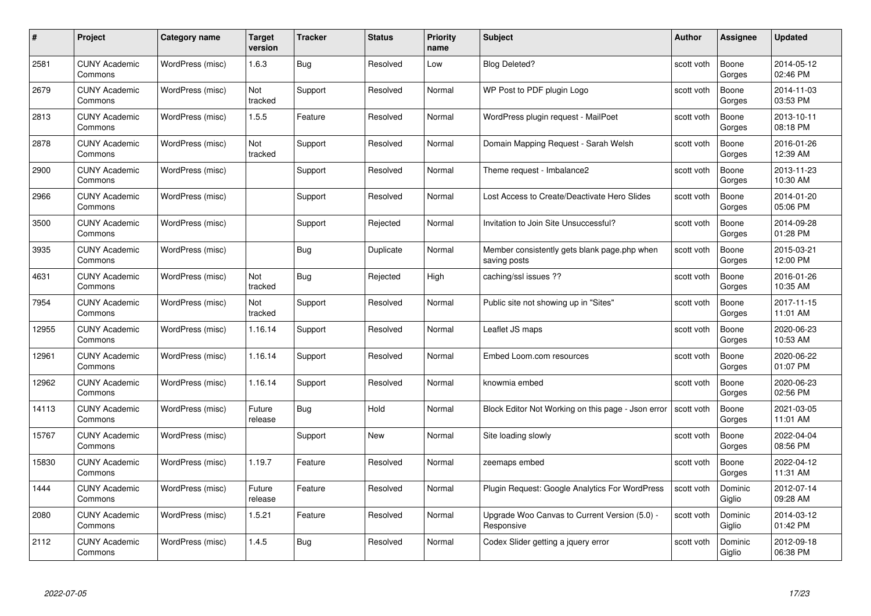| #     | Project                         | <b>Category name</b> | Target<br>version | <b>Tracker</b> | <b>Status</b> | <b>Priority</b><br>name | <b>Subject</b>                                               | <b>Author</b> | <b>Assignee</b>   | <b>Updated</b>         |
|-------|---------------------------------|----------------------|-------------------|----------------|---------------|-------------------------|--------------------------------------------------------------|---------------|-------------------|------------------------|
| 2581  | <b>CUNY Academic</b><br>Commons | WordPress (misc)     | 1.6.3             | Bug            | Resolved      | Low                     | <b>Blog Deleted?</b>                                         | scott voth    | Boone<br>Gorges   | 2014-05-12<br>02:46 PM |
| 2679  | <b>CUNY Academic</b><br>Commons | WordPress (misc)     | Not<br>tracked    | Support        | Resolved      | Normal                  | WP Post to PDF plugin Logo                                   | scott voth    | Boone<br>Gorges   | 2014-11-03<br>03:53 PM |
| 2813  | <b>CUNY Academic</b><br>Commons | WordPress (misc)     | 1.5.5             | Feature        | Resolved      | Normal                  | WordPress plugin request - MailPoet                          | scott voth    | Boone<br>Gorges   | 2013-10-11<br>08:18 PM |
| 2878  | <b>CUNY Academic</b><br>Commons | WordPress (misc)     | Not<br>tracked    | Support        | Resolved      | Normal                  | Domain Mapping Request - Sarah Welsh                         | scott voth    | Boone<br>Gorges   | 2016-01-26<br>12:39 AM |
| 2900  | CUNY Academic<br>Commons        | WordPress (misc)     |                   | Support        | Resolved      | Normal                  | Theme request - Imbalance2                                   | scott voth    | Boone<br>Gorges   | 2013-11-23<br>10:30 AM |
| 2966  | <b>CUNY Academic</b><br>Commons | WordPress (misc)     |                   | Support        | Resolved      | Normal                  | Lost Access to Create/Deactivate Hero Slides                 | scott voth    | Boone<br>Gorges   | 2014-01-20<br>05:06 PM |
| 3500  | <b>CUNY Academic</b><br>Commons | WordPress (misc)     |                   | Support        | Rejected      | Normal                  | Invitation to Join Site Unsuccessful?                        | scott voth    | Boone<br>Gorges   | 2014-09-28<br>01:28 PM |
| 3935  | <b>CUNY Academic</b><br>Commons | WordPress (misc)     |                   | <b>Bug</b>     | Duplicate     | Normal                  | Member consistently gets blank page.php when<br>saving posts | scott voth    | Boone<br>Gorges   | 2015-03-21<br>12:00 PM |
| 4631  | <b>CUNY Academic</b><br>Commons | WordPress (misc)     | Not<br>tracked    | <b>Bug</b>     | Rejected      | High                    | caching/ssl issues ??                                        | scott voth    | Boone<br>Gorges   | 2016-01-26<br>10:35 AM |
| 7954  | <b>CUNY Academic</b><br>Commons | WordPress (misc)     | Not<br>tracked    | Support        | Resolved      | Normal                  | Public site not showing up in "Sites"                        | scott voth    | Boone<br>Gorges   | 2017-11-15<br>11:01 AM |
| 12955 | CUNY Academic<br>Commons        | WordPress (misc)     | 1.16.14           | Support        | Resolved      | Normal                  | Leaflet JS maps                                              | scott voth    | Boone<br>Gorges   | 2020-06-23<br>10:53 AM |
| 12961 | <b>CUNY Academic</b><br>Commons | WordPress (misc)     | 1.16.14           | Support        | Resolved      | Normal                  | Embed Loom.com resources                                     | scott voth    | Boone<br>Gorges   | 2020-06-22<br>01:07 PM |
| 12962 | <b>CUNY Academic</b><br>Commons | WordPress (misc)     | 1.16.14           | Support        | Resolved      | Normal                  | knowmia embed                                                | scott voth    | Boone<br>Gorges   | 2020-06-23<br>02:56 PM |
| 14113 | <b>CUNY Academic</b><br>Commons | WordPress (misc)     | Future<br>release | Bug            | Hold          | Normal                  | Block Editor Not Working on this page - Json error           | scott voth    | Boone<br>Gorges   | 2021-03-05<br>11:01 AM |
| 15767 | <b>CUNY Academic</b><br>Commons | WordPress (misc)     |                   | Support        | New           | Normal                  | Site loading slowly                                          | scott voth    | Boone<br>Gorges   | 2022-04-04<br>08:56 PM |
| 15830 | <b>CUNY Academic</b><br>Commons | WordPress (misc)     | 1.19.7            | Feature        | Resolved      | Normal                  | zeemaps embed                                                | scott voth    | Boone<br>Gorges   | 2022-04-12<br>11:31 AM |
| 1444  | <b>CUNY Academic</b><br>Commons | WordPress (misc)     | Future<br>release | Feature        | Resolved      | Normal                  | Plugin Request: Google Analytics For WordPress               | scott voth    | Dominic<br>Giglio | 2012-07-14<br>09:28 AM |
| 2080  | <b>CUNY Academic</b><br>Commons | WordPress (misc)     | 1.5.21            | Feature        | Resolved      | Normal                  | Upgrade Woo Canvas to Current Version (5.0) -<br>Responsive  | scott voth    | Dominic<br>Giglio | 2014-03-12<br>01:42 PM |
| 2112  | CUNY Academic<br>Commons        | WordPress (misc)     | 1.4.5             | Bug            | Resolved      | Normal                  | Codex Slider getting a jquery error                          | scott voth    | Dominic<br>Giglio | 2012-09-18<br>06:38 PM |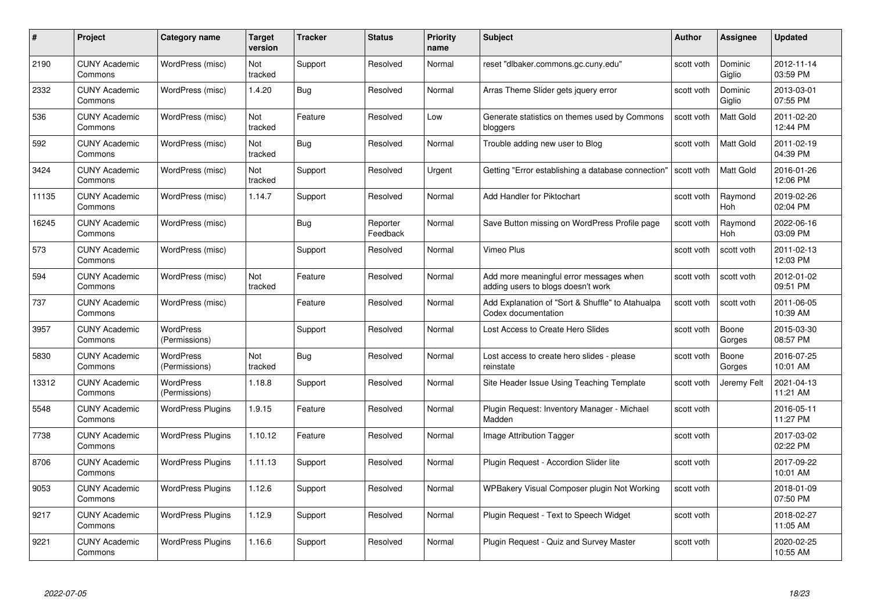| #     | Project                         | <b>Category name</b>              | Target<br>version     | <b>Tracker</b> | <b>Status</b>        | <b>Priority</b><br>name | <b>Subject</b>                                                                | <b>Author</b> | <b>Assignee</b>   | <b>Updated</b>         |
|-------|---------------------------------|-----------------------------------|-----------------------|----------------|----------------------|-------------------------|-------------------------------------------------------------------------------|---------------|-------------------|------------------------|
| 2190  | <b>CUNY Academic</b><br>Commons | WordPress (misc)                  | Not<br>tracked        | Support        | Resolved             | Normal                  | reset "dlbaker.commons.gc.cuny.edu"                                           | scott voth    | Dominic<br>Giglio | 2012-11-14<br>03:59 PM |
| 2332  | <b>CUNY Academic</b><br>Commons | WordPress (misc)                  | 1.4.20                | Bug            | Resolved             | Normal                  | Arras Theme Slider gets jquery error                                          | scott voth    | Dominic<br>Giglio | 2013-03-01<br>07:55 PM |
| 536   | <b>CUNY Academic</b><br>Commons | WordPress (misc)                  | <b>Not</b><br>tracked | Feature        | Resolved             | Low                     | Generate statistics on themes used by Commons<br>bloggers                     | scott voth    | Matt Gold         | 2011-02-20<br>12:44 PM |
| 592   | <b>CUNY Academic</b><br>Commons | WordPress (misc)                  | Not<br>tracked        | <b>Bug</b>     | Resolved             | Normal                  | Trouble adding new user to Blog                                               | scott voth    | Matt Gold         | 2011-02-19<br>04:39 PM |
| 3424  | CUNY Academic<br>Commons        | WordPress (misc)                  | Not<br>tracked        | Support        | Resolved             | Urgent                  | Getting "Error establishing a database connection"                            | scott voth    | Matt Gold         | 2016-01-26<br>12:06 PM |
| 11135 | <b>CUNY Academic</b><br>Commons | WordPress (misc)                  | 1.14.7                | Support        | Resolved             | Normal                  | Add Handler for Piktochart                                                    | scott voth    | Raymond<br>Hoh    | 2019-02-26<br>02:04 PM |
| 16245 | <b>CUNY Academic</b><br>Commons | WordPress (misc)                  |                       | Bug            | Reporter<br>Feedback | Normal                  | Save Button missing on WordPress Profile page                                 | scott voth    | Raymond<br>Hoh    | 2022-06-16<br>03:09 PM |
| 573   | <b>CUNY Academic</b><br>Commons | WordPress (misc)                  |                       | Support        | Resolved             | Normal                  | Vimeo Plus                                                                    | scott voth    | scott voth        | 2011-02-13<br>12:03 PM |
| 594   | <b>CUNY Academic</b><br>Commons | WordPress (misc)                  | Not<br>tracked        | Feature        | Resolved             | Normal                  | Add more meaningful error messages when<br>adding users to blogs doesn't work | scott voth    | scott voth        | 2012-01-02<br>09:51 PM |
| 737   | <b>CUNY Academic</b><br>Commons | WordPress (misc)                  |                       | Feature        | Resolved             | Normal                  | Add Explanation of "Sort & Shuffle" to Atahualpa<br>Codex documentation       | scott voth    | scott voth        | 2011-06-05<br>10:39 AM |
| 3957  | CUNY Academic<br>Commons        | WordPress<br>(Permissions)        |                       | Support        | Resolved             | Normal                  | Lost Access to Create Hero Slides                                             | scott voth    | Boone<br>Gorges   | 2015-03-30<br>08:57 PM |
| 5830  | <b>CUNY Academic</b><br>Commons | <b>WordPress</b><br>(Permissions) | Not<br>tracked        | <b>Bug</b>     | Resolved             | Normal                  | Lost access to create hero slides - please<br>reinstate                       | scott voth    | Boone<br>Gorges   | 2016-07-25<br>10:01 AM |
| 13312 | <b>CUNY Academic</b><br>Commons | <b>WordPress</b><br>(Permissions) | 1.18.8                | Support        | Resolved             | Normal                  | Site Header Issue Using Teaching Template                                     | scott voth    | Jeremy Felt       | 2021-04-13<br>11:21 AM |
| 5548  | <b>CUNY Academic</b><br>Commons | <b>WordPress Plugins</b>          | 1.9.15                | Feature        | Resolved             | Normal                  | Plugin Request: Inventory Manager - Michael<br>Madden                         | scott voth    |                   | 2016-05-11<br>11:27 PM |
| 7738  | <b>CUNY Academic</b><br>Commons | <b>WordPress Plugins</b>          | 1.10.12               | Feature        | Resolved             | Normal                  | Image Attribution Tagger                                                      | scott voth    |                   | 2017-03-02<br>02:22 PM |
| 8706  | <b>CUNY Academic</b><br>Commons | <b>WordPress Plugins</b>          | 1.11.13               | Support        | Resolved             | Normal                  | Plugin Request - Accordion Slider lite                                        | scott voth    |                   | 2017-09-22<br>10:01 AM |
| 9053  | <b>CUNY Academic</b><br>Commons | <b>WordPress Plugins</b>          | 1.12.6                | Support        | Resolved             | Normal                  | WPBakery Visual Composer plugin Not Working                                   | scott voth    |                   | 2018-01-09<br>07:50 PM |
| 9217  | <b>CUNY Academic</b><br>Commons | <b>WordPress Plugins</b>          | 1.12.9                | Support        | Resolved             | Normal                  | Plugin Request - Text to Speech Widget                                        | scott voth    |                   | 2018-02-27<br>11:05 AM |
| 9221  | CUNY Academic<br>Commons        | <b>WordPress Plugins</b>          | 1.16.6                | Support        | Resolved             | Normal                  | Plugin Request - Quiz and Survey Master                                       | scott voth    |                   | 2020-02-25<br>10:55 AM |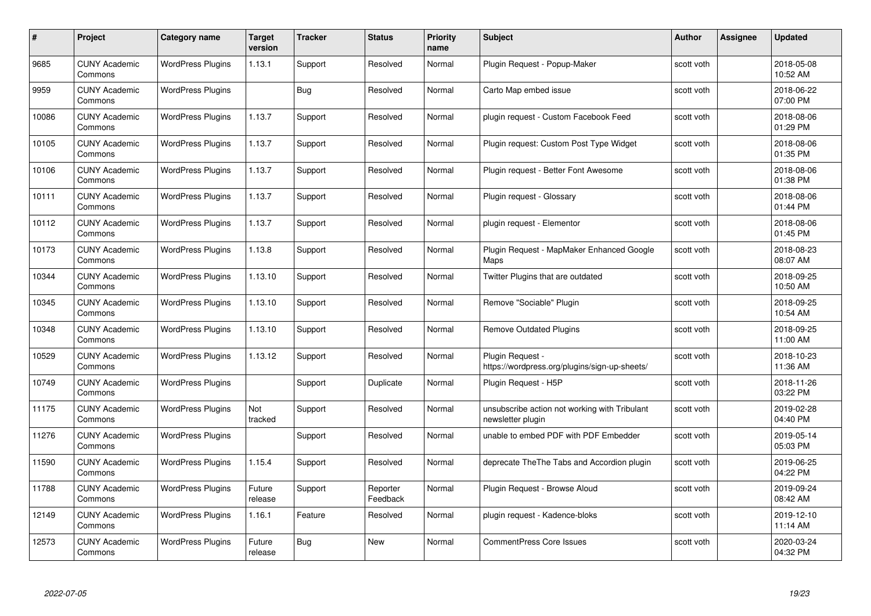| #     | Project                         | <b>Category name</b>     | Target<br>version | <b>Tracker</b> | <b>Status</b>        | <b>Priority</b><br>name | <b>Subject</b>                                                     | <b>Author</b> | <b>Assignee</b> | <b>Updated</b>         |
|-------|---------------------------------|--------------------------|-------------------|----------------|----------------------|-------------------------|--------------------------------------------------------------------|---------------|-----------------|------------------------|
| 9685  | <b>CUNY Academic</b><br>Commons | <b>WordPress Plugins</b> | 1.13.1            | Support        | Resolved             | Normal                  | Plugin Request - Popup-Maker                                       | scott voth    |                 | 2018-05-08<br>10:52 AM |
| 9959  | <b>CUNY Academic</b><br>Commons | <b>WordPress Plugins</b> |                   | <b>Bug</b>     | Resolved             | Normal                  | Carto Map embed issue                                              | scott voth    |                 | 2018-06-22<br>07:00 PM |
| 10086 | <b>CUNY Academic</b><br>Commons | <b>WordPress Plugins</b> | 1.13.7            | Support        | Resolved             | Normal                  | plugin request - Custom Facebook Feed                              | scott voth    |                 | 2018-08-06<br>01:29 PM |
| 10105 | <b>CUNY Academic</b><br>Commons | <b>WordPress Plugins</b> | 1.13.7            | Support        | Resolved             | Normal                  | Plugin request: Custom Post Type Widget                            | scott voth    |                 | 2018-08-06<br>01:35 PM |
| 10106 | <b>CUNY Academic</b><br>Commons | <b>WordPress Plugins</b> | 1.13.7            | Support        | Resolved             | Normal                  | Plugin reguest - Better Font Awesome                               | scott voth    |                 | 2018-08-06<br>01:38 PM |
| 10111 | <b>CUNY Academic</b><br>Commons | <b>WordPress Plugins</b> | 1.13.7            | Support        | Resolved             | Normal                  | Plugin request - Glossary                                          | scott voth    |                 | 2018-08-06<br>01:44 PM |
| 10112 | <b>CUNY Academic</b><br>Commons | <b>WordPress Plugins</b> | 1.13.7            | Support        | Resolved             | Normal                  | plugin request - Elementor                                         | scott voth    |                 | 2018-08-06<br>01:45 PM |
| 10173 | <b>CUNY Academic</b><br>Commons | <b>WordPress Plugins</b> | 1.13.8            | Support        | Resolved             | Normal                  | Plugin Request - MapMaker Enhanced Google<br>Maps                  | scott voth    |                 | 2018-08-23<br>08:07 AM |
| 10344 | <b>CUNY Academic</b><br>Commons | <b>WordPress Plugins</b> | 1.13.10           | Support        | Resolved             | Normal                  | Twitter Plugins that are outdated                                  | scott voth    |                 | 2018-09-25<br>10:50 AM |
| 10345 | <b>CUNY Academic</b><br>Commons | <b>WordPress Plugins</b> | 1.13.10           | Support        | Resolved             | Normal                  | Remove "Sociable" Plugin                                           | scott voth    |                 | 2018-09-25<br>10:54 AM |
| 10348 | <b>CUNY Academic</b><br>Commons | <b>WordPress Plugins</b> | 1.13.10           | Support        | Resolved             | Normal                  | Remove Outdated Plugins                                            | scott voth    |                 | 2018-09-25<br>11:00 AM |
| 10529 | <b>CUNY Academic</b><br>Commons | <b>WordPress Plugins</b> | 1.13.12           | Support        | Resolved             | Normal                  | Plugin Request -<br>https://wordpress.org/plugins/sign-up-sheets/  | scott voth    |                 | 2018-10-23<br>11:36 AM |
| 10749 | <b>CUNY Academic</b><br>Commons | <b>WordPress Plugins</b> |                   | Support        | Duplicate            | Normal                  | Plugin Request - H5P                                               | scott voth    |                 | 2018-11-26<br>03:22 PM |
| 11175 | <b>CUNY Academic</b><br>Commons | <b>WordPress Plugins</b> | Not<br>tracked    | Support        | Resolved             | Normal                  | unsubscribe action not working with Tribulant<br>newsletter plugin | scott voth    |                 | 2019-02-28<br>04:40 PM |
| 11276 | <b>CUNY Academic</b><br>Commons | <b>WordPress Plugins</b> |                   | Support        | Resolved             | Normal                  | unable to embed PDF with PDF Embedder                              | scott voth    |                 | 2019-05-14<br>05:03 PM |
| 11590 | <b>CUNY Academic</b><br>Commons | <b>WordPress Plugins</b> | 1.15.4            | Support        | Resolved             | Normal                  | deprecate The The Tabs and Accordion plugin                        | scott voth    |                 | 2019-06-25<br>04:22 PM |
| 11788 | <b>CUNY Academic</b><br>Commons | <b>WordPress Plugins</b> | Future<br>release | Support        | Reporter<br>Feedback | Normal                  | Plugin Request - Browse Aloud                                      | scott voth    |                 | 2019-09-24<br>08:42 AM |
| 12149 | <b>CUNY Academic</b><br>Commons | <b>WordPress Plugins</b> | 1.16.1            | Feature        | Resolved             | Normal                  | plugin request - Kadence-bloks                                     | scott voth    |                 | 2019-12-10<br>11:14 AM |
| 12573 | <b>CUNY Academic</b><br>Commons | <b>WordPress Plugins</b> | Future<br>release | Bug            | <b>New</b>           | Normal                  | <b>CommentPress Core Issues</b>                                    | scott voth    |                 | 2020-03-24<br>04:32 PM |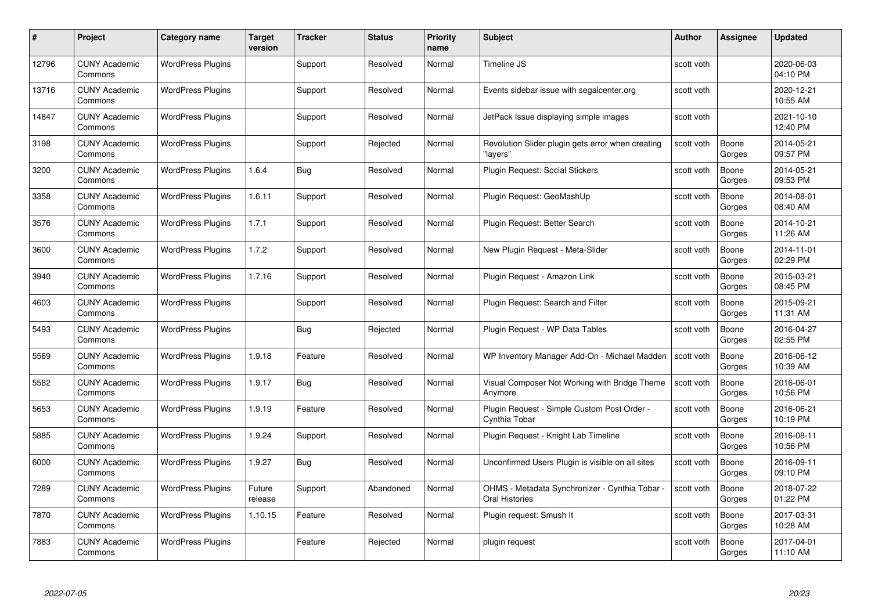| #     | Project                         | Category name            | Target<br>version | <b>Tracker</b> | <b>Status</b> | <b>Priority</b><br>name | <b>Subject</b>                                                        | <b>Author</b> | <b>Assignee</b> | <b>Updated</b>         |
|-------|---------------------------------|--------------------------|-------------------|----------------|---------------|-------------------------|-----------------------------------------------------------------------|---------------|-----------------|------------------------|
| 12796 | <b>CUNY Academic</b><br>Commons | <b>WordPress Plugins</b> |                   | Support        | Resolved      | Normal                  | Timeline JS                                                           | scott voth    |                 | 2020-06-03<br>04:10 PM |
| 13716 | <b>CUNY Academic</b><br>Commons | <b>WordPress Plugins</b> |                   | Support        | Resolved      | Normal                  | Events sidebar issue with segalcenter.org                             | scott voth    |                 | 2020-12-21<br>10:55 AM |
| 14847 | <b>CUNY Academic</b><br>Commons | <b>WordPress Plugins</b> |                   | Support        | Resolved      | Normal                  | JetPack Issue displaying simple images                                | scott voth    |                 | 2021-10-10<br>12:40 PM |
| 3198  | <b>CUNY Academic</b><br>Commons | <b>WordPress Plugins</b> |                   | Support        | Rejected      | Normal                  | Revolution Slider plugin gets error when creating<br>'lavers"         | scott voth    | Boone<br>Gorges | 2014-05-21<br>09:57 PM |
| 3200  | <b>CUNY Academic</b><br>Commons | <b>WordPress Plugins</b> | 1.6.4             | <b>Bug</b>     | Resolved      | Normal                  | Plugin Request: Social Stickers                                       | scott voth    | Boone<br>Gorges | 2014-05-21<br>09:53 PM |
| 3358  | <b>CUNY Academic</b><br>Commons | <b>WordPress Plugins</b> | 1.6.11            | Support        | Resolved      | Normal                  | Plugin Request: GeoMashUp                                             | scott voth    | Boone<br>Gorges | 2014-08-01<br>08:40 AM |
| 3576  | <b>CUNY Academic</b><br>Commons | <b>WordPress Plugins</b> | 1.7.1             | Support        | Resolved      | Normal                  | Plugin Request: Better Search                                         | scott voth    | Boone<br>Gorges | 2014-10-21<br>11:26 AM |
| 3600  | <b>CUNY Academic</b><br>Commons | <b>WordPress Plugins</b> | 1.7.2             | Support        | Resolved      | Normal                  | New Plugin Request - Meta-Slider                                      | scott voth    | Boone<br>Gorges | 2014-11-01<br>02:29 PM |
| 3940  | <b>CUNY Academic</b><br>Commons | <b>WordPress Plugins</b> | 1.7.16            | Support        | Resolved      | Normal                  | Plugin Request - Amazon Link                                          | scott voth    | Boone<br>Gorges | 2015-03-21<br>08:45 PM |
| 4603  | <b>CUNY Academic</b><br>Commons | <b>WordPress Plugins</b> |                   | Support        | Resolved      | Normal                  | Plugin Request: Search and Filter                                     | scott voth    | Boone<br>Gorges | 2015-09-21<br>11:31 AM |
| 5493  | <b>CUNY Academic</b><br>Commons | <b>WordPress Plugins</b> |                   | Bug            | Rejected      | Normal                  | Plugin Request - WP Data Tables                                       | scott voth    | Boone<br>Gorges | 2016-04-27<br>02:55 PM |
| 5569  | CUNY Academic<br>Commons        | <b>WordPress Plugins</b> | 1.9.18            | Feature        | Resolved      | Normal                  | WP Inventory Manager Add-On - Michael Madden                          | scott voth    | Boone<br>Gorges | 2016-06-12<br>10:39 AM |
| 5582  | <b>CUNY Academic</b><br>Commons | <b>WordPress Plugins</b> | 1.9.17            | Bug            | Resolved      | Normal                  | Visual Composer Not Working with Bridge Theme<br>Anymore              | scott voth    | Boone<br>Gorges | 2016-06-01<br>10:56 PM |
| 5653  | <b>CUNY Academic</b><br>Commons | <b>WordPress Plugins</b> | 1.9.19            | Feature        | Resolved      | Normal                  | Plugin Request - Simple Custom Post Order -<br>Cynthia Tobar          | scott voth    | Boone<br>Gorges | 2016-06-21<br>10:19 PM |
| 5885  | CUNY Academic<br>Commons        | <b>WordPress Plugins</b> | 1.9.24            | Support        | Resolved      | Normal                  | Plugin Request - Knight Lab Timeline                                  | scott voth    | Boone<br>Gorges | 2016-08-11<br>10:56 PM |
| 6000  | <b>CUNY Academic</b><br>Commons | <b>WordPress Plugins</b> | 1.9.27            | Bug            | Resolved      | Normal                  | Unconfirmed Users Plugin is visible on all sites                      | scott voth    | Boone<br>Gorges | 2016-09-11<br>09:10 PM |
| 7289  | <b>CUNY Academic</b><br>Commons | <b>WordPress Plugins</b> | Future<br>release | Support        | Abandoned     | Normal                  | OHMS - Metadata Synchronizer - Cynthia Tobar<br><b>Oral Histories</b> | scott voth    | Boone<br>Gorges | 2018-07-22<br>01:22 PM |
| 7870  | <b>CUNY Academic</b><br>Commons | <b>WordPress Plugins</b> | 1.10.15           | Feature        | Resolved      | Normal                  | Plugin request: Smush It                                              | scott voth    | Boone<br>Gorges | 2017-03-31<br>10:28 AM |
| 7883  | CUNY Academic<br>Commons        | <b>WordPress Plugins</b> |                   | Feature        | Rejected      | Normal                  | plugin request                                                        | scott voth    | Boone<br>Gorges | 2017-04-01<br>11:10 AM |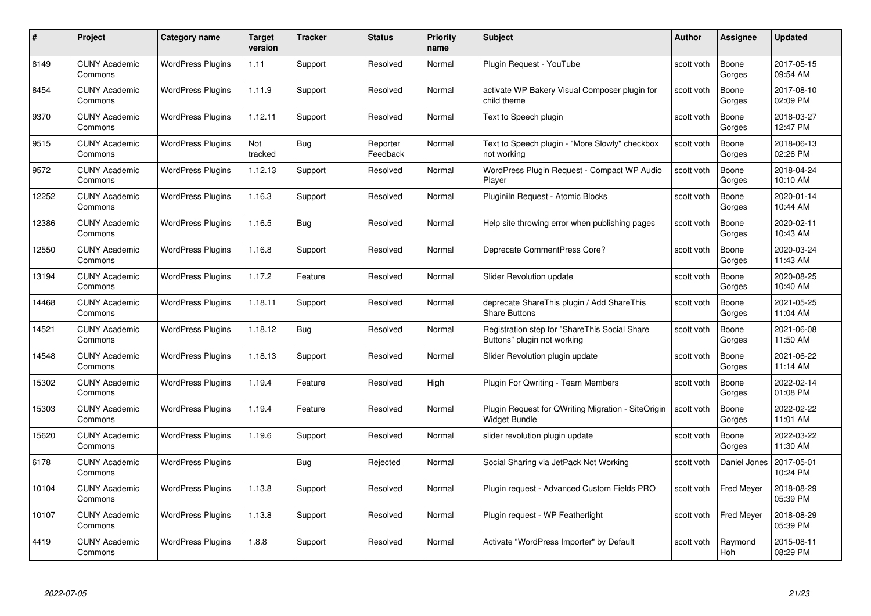| #     | Project                         | Category name            | Target<br>version | <b>Tracker</b> | <b>Status</b>        | <b>Priority</b><br>name | <b>Subject</b>                                                               | <b>Author</b> | <b>Assignee</b>   | <b>Updated</b>         |
|-------|---------------------------------|--------------------------|-------------------|----------------|----------------------|-------------------------|------------------------------------------------------------------------------|---------------|-------------------|------------------------|
| 8149  | <b>CUNY Academic</b><br>Commons | <b>WordPress Plugins</b> | 1.11              | Support        | Resolved             | Normal                  | Plugin Reguest - YouTube                                                     | scott voth    | Boone<br>Gorges   | 2017-05-15<br>09:54 AM |
| 8454  | <b>CUNY Academic</b><br>Commons | <b>WordPress Plugins</b> | 1.11.9            | Support        | Resolved             | Normal                  | activate WP Bakery Visual Composer plugin for<br>child theme                 | scott voth    | Boone<br>Gorges   | 2017-08-10<br>02:09 PM |
| 9370  | <b>CUNY Academic</b><br>Commons | <b>WordPress Plugins</b> | 1.12.11           | Support        | Resolved             | Normal                  | Text to Speech plugin                                                        | scott voth    | Boone<br>Gorges   | 2018-03-27<br>12:47 PM |
| 9515  | <b>CUNY Academic</b><br>Commons | <b>WordPress Plugins</b> | Not<br>tracked    | <b>Bug</b>     | Reporter<br>Feedback | Normal                  | Text to Speech plugin - "More Slowly" checkbox<br>not working                | scott voth    | Boone<br>Gorges   | 2018-06-13<br>02:26 PM |
| 9572  | <b>CUNY Academic</b><br>Commons | <b>WordPress Plugins</b> | 1.12.13           | Support        | Resolved             | Normal                  | WordPress Plugin Request - Compact WP Audio<br>Player                        | scott voth    | Boone<br>Gorges   | 2018-04-24<br>10:10 AM |
| 12252 | <b>CUNY Academic</b><br>Commons | <b>WordPress Plugins</b> | 1.16.3            | Support        | Resolved             | Normal                  | Pluginiln Request - Atomic Blocks                                            | scott voth    | Boone<br>Gorges   | 2020-01-14<br>10:44 AM |
| 12386 | <b>CUNY Academic</b><br>Commons | <b>WordPress Plugins</b> | 1.16.5            | <b>Bug</b>     | Resolved             | Normal                  | Help site throwing error when publishing pages                               | scott voth    | Boone<br>Gorges   | 2020-02-11<br>10:43 AM |
| 12550 | <b>CUNY Academic</b><br>Commons | <b>WordPress Plugins</b> | 1.16.8            | Support        | Resolved             | Normal                  | Deprecate CommentPress Core?                                                 | scott voth    | Boone<br>Gorges   | 2020-03-24<br>11:43 AM |
| 13194 | <b>CUNY Academic</b><br>Commons | <b>WordPress Plugins</b> | 1.17.2            | Feature        | Resolved             | Normal                  | Slider Revolution update                                                     | scott voth    | Boone<br>Gorges   | 2020-08-25<br>10:40 AM |
| 14468 | <b>CUNY Academic</b><br>Commons | <b>WordPress Plugins</b> | 1.18.11           | Support        | Resolved             | Normal                  | deprecate ShareThis plugin / Add ShareThis<br><b>Share Buttons</b>           | scott voth    | Boone<br>Gorges   | 2021-05-25<br>11:04 AM |
| 14521 | <b>CUNY Academic</b><br>Commons | <b>WordPress Plugins</b> | 1.18.12           | Bug            | Resolved             | Normal                  | Registration step for "ShareThis Social Share<br>Buttons" plugin not working | scott voth    | Boone<br>Gorges   | 2021-06-08<br>11:50 AM |
| 14548 | <b>CUNY Academic</b><br>Commons | <b>WordPress Plugins</b> | 1.18.13           | Support        | Resolved             | Normal                  | Slider Revolution plugin update                                              | scott voth    | Boone<br>Gorges   | 2021-06-22<br>11:14 AM |
| 15302 | <b>CUNY Academic</b><br>Commons | <b>WordPress Plugins</b> | 1.19.4            | Feature        | Resolved             | High                    | Plugin For Qwriting - Team Members                                           | scott voth    | Boone<br>Gorges   | 2022-02-14<br>01:08 PM |
| 15303 | <b>CUNY Academic</b><br>Commons | <b>WordPress Plugins</b> | 1.19.4            | Feature        | Resolved             | Normal                  | Plugin Request for QWriting Migration - SiteOrigin<br><b>Widget Bundle</b>   | scott voth    | Boone<br>Gorges   | 2022-02-22<br>11:01 AM |
| 15620 | <b>CUNY Academic</b><br>Commons | <b>WordPress Plugins</b> | 1.19.6            | Support        | Resolved             | Normal                  | slider revolution plugin update                                              | scott voth    | Boone<br>Gorges   | 2022-03-22<br>11:30 AM |
| 6178  | <b>CUNY Academic</b><br>Commons | <b>WordPress Plugins</b> |                   | <b>Bug</b>     | Rejected             | Normal                  | Social Sharing via JetPack Not Working                                       | scott voth    | Daniel Jones      | 2017-05-01<br>10:24 PM |
| 10104 | <b>CUNY Academic</b><br>Commons | <b>WordPress Plugins</b> | 1.13.8            | Support        | Resolved             | Normal                  | Plugin request - Advanced Custom Fields PRO                                  | scott voth    | <b>Fred Meyer</b> | 2018-08-29<br>05:39 PM |
| 10107 | <b>CUNY Academic</b><br>Commons | <b>WordPress Plugins</b> | 1.13.8            | Support        | Resolved             | Normal                  | Plugin request - WP Featherlight                                             | scott voth    | <b>Fred Meyer</b> | 2018-08-29<br>05:39 PM |
| 4419  | <b>CUNY Academic</b><br>Commons | <b>WordPress Plugins</b> | 1.8.8             | Support        | Resolved             | Normal                  | Activate "WordPress Importer" by Default                                     | scott voth    | Raymond<br>Hoh    | 2015-08-11<br>08:29 PM |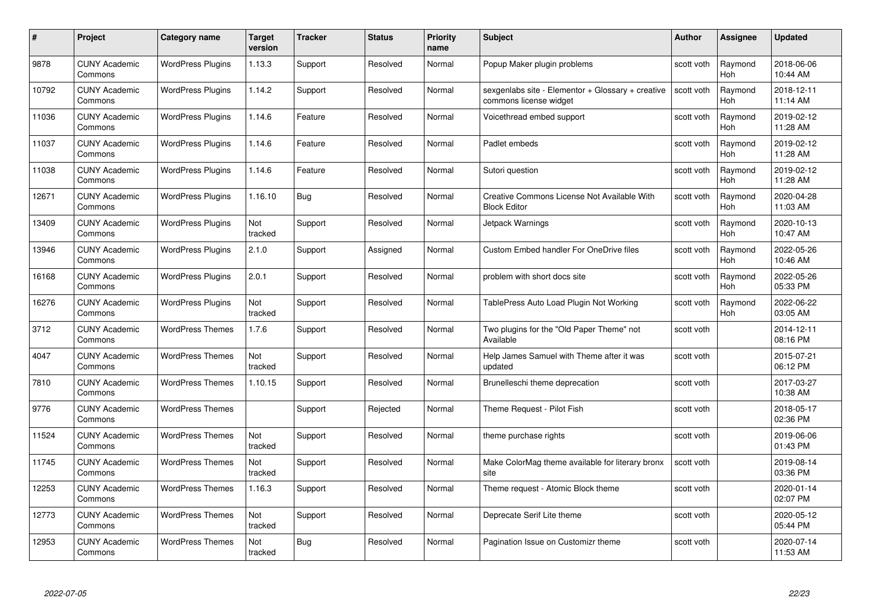| #     | Project                         | <b>Category name</b>     | Target<br>version | <b>Tracker</b> | <b>Status</b> | <b>Priority</b><br>name | <b>Subject</b>                                                              | <b>Author</b> | <b>Assignee</b>       | <b>Updated</b>         |
|-------|---------------------------------|--------------------------|-------------------|----------------|---------------|-------------------------|-----------------------------------------------------------------------------|---------------|-----------------------|------------------------|
| 9878  | <b>CUNY Academic</b><br>Commons | <b>WordPress Plugins</b> | 1.13.3            | Support        | Resolved      | Normal                  | Popup Maker plugin problems                                                 | scott voth    | Raymond<br>Hoh        | 2018-06-06<br>10:44 AM |
| 10792 | <b>CUNY Academic</b><br>Commons | <b>WordPress Plugins</b> | 1.14.2            | Support        | Resolved      | Normal                  | sexgenlabs site - Elementor + Glossary + creative<br>commons license widget | scott voth    | Raymond<br><b>Hoh</b> | 2018-12-11<br>11:14 AM |
| 11036 | <b>CUNY Academic</b><br>Commons | <b>WordPress Plugins</b> | 1.14.6            | Feature        | Resolved      | Normal                  | Voicethread embed support                                                   | scott voth    | Raymond<br>Hoh        | 2019-02-12<br>11:28 AM |
| 11037 | <b>CUNY Academic</b><br>Commons | <b>WordPress Plugins</b> | 1.14.6            | Feature        | Resolved      | Normal                  | Padlet embeds                                                               | scott voth    | Raymond<br>Hoh        | 2019-02-12<br>11:28 AM |
| 11038 | <b>CUNY Academic</b><br>Commons | <b>WordPress Plugins</b> | 1.14.6            | Feature        | Resolved      | Normal                  | Sutori question                                                             | scott voth    | Raymond<br>Hoh        | 2019-02-12<br>11:28 AM |
| 12671 | <b>CUNY Academic</b><br>Commons | <b>WordPress Plugins</b> | 1.16.10           | Bug            | Resolved      | Normal                  | Creative Commons License Not Available With<br><b>Block Editor</b>          | scott voth    | Raymond<br>Hoh        | 2020-04-28<br>11:03 AM |
| 13409 | <b>CUNY Academic</b><br>Commons | <b>WordPress Plugins</b> | Not<br>tracked    | Support        | Resolved      | Normal                  | Jetpack Warnings                                                            | scott voth    | Raymond<br>Hoh        | 2020-10-13<br>10:47 AM |
| 13946 | <b>CUNY Academic</b><br>Commons | <b>WordPress Plugins</b> | 2.1.0             | Support        | Assigned      | Normal                  | <b>Custom Embed handler For OneDrive files</b>                              | scott voth    | Raymond<br><b>Hoh</b> | 2022-05-26<br>10:46 AM |
| 16168 | <b>CUNY Academic</b><br>Commons | <b>WordPress Plugins</b> | 2.0.1             | Support        | Resolved      | Normal                  | problem with short docs site                                                | scott voth    | Raymond<br>Hoh        | 2022-05-26<br>05:33 PM |
| 16276 | <b>CUNY Academic</b><br>Commons | <b>WordPress Plugins</b> | Not<br>tracked    | Support        | Resolved      | Normal                  | TablePress Auto Load Plugin Not Working                                     | scott voth    | Raymond<br>Hoh        | 2022-06-22<br>03:05 AM |
| 3712  | CUNY Academic<br>Commons        | <b>WordPress Themes</b>  | 1.7.6             | Support        | Resolved      | Normal                  | Two plugins for the "Old Paper Theme" not<br>Available                      | scott voth    |                       | 2014-12-11<br>08:16 PM |
| 4047  | <b>CUNY Academic</b><br>Commons | <b>WordPress Themes</b>  | Not<br>tracked    | Support        | Resolved      | Normal                  | Help James Samuel with Theme after it was<br>updated                        | scott voth    |                       | 2015-07-21<br>06:12 PM |
| 7810  | <b>CUNY Academic</b><br>Commons | <b>WordPress Themes</b>  | 1.10.15           | Support        | Resolved      | Normal                  | Brunelleschi theme deprecation                                              | scott voth    |                       | 2017-03-27<br>10:38 AM |
| 9776  | <b>CUNY Academic</b><br>Commons | <b>WordPress Themes</b>  |                   | Support        | Rejected      | Normal                  | Theme Request - Pilot Fish                                                  | scott voth    |                       | 2018-05-17<br>02:36 PM |
| 11524 | <b>CUNY Academic</b><br>Commons | <b>WordPress Themes</b>  | Not<br>tracked    | Support        | Resolved      | Normal                  | theme purchase rights                                                       | scott voth    |                       | 2019-06-06<br>01:43 PM |
| 11745 | <b>CUNY Academic</b><br>Commons | <b>WordPress Themes</b>  | Not<br>tracked    | Support        | Resolved      | Normal                  | Make ColorMag theme available for literary bronx<br>site                    | scott voth    |                       | 2019-08-14<br>03:36 PM |
| 12253 | <b>CUNY Academic</b><br>Commons | <b>WordPress Themes</b>  | 1.16.3            | Support        | Resolved      | Normal                  | Theme request - Atomic Block theme                                          | scott voth    |                       | 2020-01-14<br>02:07 PM |
| 12773 | <b>CUNY Academic</b><br>Commons | <b>WordPress Themes</b>  | Not<br>tracked    | Support        | Resolved      | Normal                  | Deprecate Serif Lite theme                                                  | scott voth    |                       | 2020-05-12<br>05:44 PM |
| 12953 | CUNY Academic<br>Commons        | <b>WordPress Themes</b>  | Not<br>tracked    | Bug            | Resolved      | Normal                  | Pagination Issue on Customizr theme                                         | scott voth    |                       | 2020-07-14<br>11:53 AM |